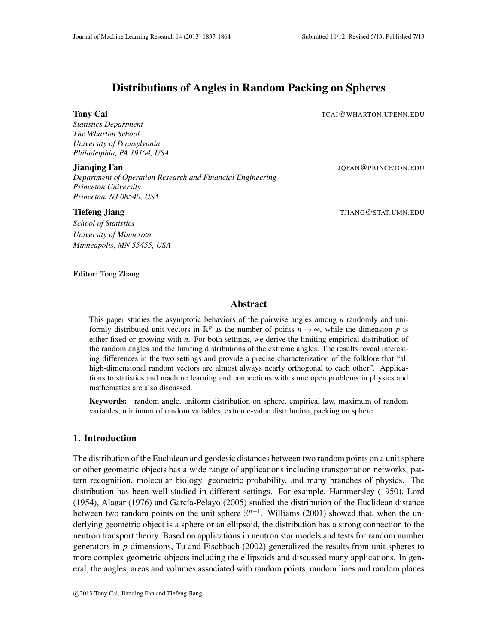# Distributions of Angles in Random Packing on Spheres

**Tony Cai** TCAI@WHARTON.UPENN.EDU

*Statistics Department The Wharton School University of Pennsylvania Philadelphia, PA 19104, USA*

#### **Jianqing Fan** JOFAN **@PRINCETON.EDU**

*Department of Operation Research and Financial Engineering Princeton University Princeton, NJ 08540, USA*

#### **Tiefeng Jiang The The Contract of the Contract of The Contract of The Contract of TJIANG@STAT.UMN.EDU**

*School of Statistics University of Minnesota Minneapolis, MN 55455, USA*

Editor: Tong Zhang

# Abstract

This paper studies the asymptotic behaviors of the pairwise angles among *n* randomly and uniformly distributed unit vectors in  $\mathbb{R}^p$  as the number of points  $n \to \infty$ , while the dimension p is either fixed or growing with *n*. For both settings, we derive the limiting empirical distribution of the random angles and the limiting distributions of the extreme angles. The results reveal interesting differences in the two settings and provide a precise characterization of the folklore that "all high-dimensional random vectors are almost always nearly orthogonal to each other". Applications to statistics and machine learning and connections with some open problems in physics and mathematics are also discussed.

Keywords: random angle, uniform distribution on sphere, empirical law, maximum of random variables, minimum of random variables, extreme-value distribution, packing on sphere

# 1. Introduction

The distribution of the Euclidean and geodesic distances between two random points on a unit sphere or other geometric objects has a wide range of applications including transportation networks, pattern recognition, molecular biology, geometric probability, and many branches of physics. The distribution has been well studied in different settings. For example, Hammersley (1950), Lord  $(1954)$ , Alagar  $(1976)$  and García-Pelayo  $(2005)$  studied the distribution of the Euclidean distance between two random points on the unit sphere  $\mathbb{S}^{p-1}$ . Williams (2001) showed that, when the underlying geometric object is a sphere or an ellipsoid, the distribution has a strong connection to the neutron transport theory. Based on applications in neutron star models and tests for random number generators in *p*-dimensions, Tu and Fischbach (2002) generalized the results from unit spheres to more complex geometric objects including the ellipsoids and discussed many applications. In general, the angles, areas and volumes associated with random points, random lines and random planes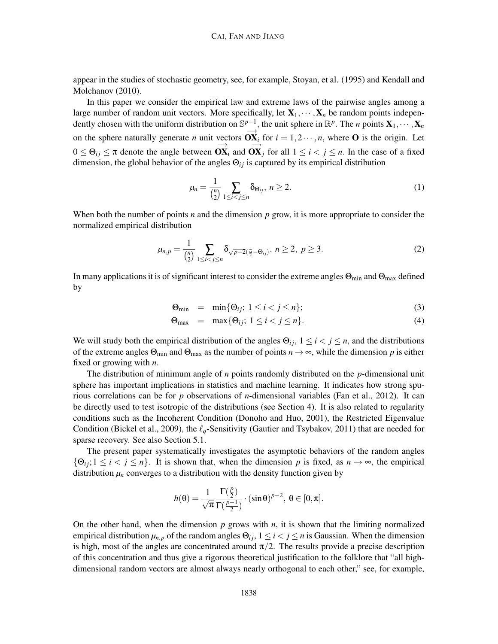appear in the studies of stochastic geometry, see, for example, Stoyan, et al. (1995) and Kendall and Molchanov (2010).

In this paper we consider the empirical law and extreme laws of the pairwise angles among a large number of random unit vectors. More specifically, let  $X_1, \dots, X_n$  be random points independently chosen with the uniform distribution on  $\mathbb{S}^{p-1}$ , the unit sphere in  $\mathbb{R}^p$ . The *n* points  $\mathbf{X}_1, \cdots, \mathbf{X}_n$ on the sphere naturally generate *n* unit vectors  $\overrightarrow{OX_i}$  for  $i = 1, 2 \cdots, n$ , where O is the origin. Let  $0 \le \Theta_{ij} \le \pi$  denote the angle between  $\overrightarrow{OX}_i$  and  $\overrightarrow{OX}_j$  for all  $1 \le i < j \le n$ . In the case of a fixed dimension, the global behavior of the angles  $\Theta_{ij}$  is captured by its empirical distribution

$$
\mu_n = \frac{1}{\binom{n}{2}} \sum_{1 \le i < j \le n} \delta_{\Theta_{ij}}, \ n \ge 2. \tag{1}
$$

When both the number of points *n* and the dimension  $p$  grow, it is more appropriate to consider the normalized empirical distribution

$$
\mu_{n,p} = \frac{1}{\binom{n}{2}} \sum_{1 \le i < j \le n} \delta_{\sqrt{p-2}(\frac{\pi}{2} - \Theta_{ij})}, \ n \ge 2, \ p \ge 3. \tag{2}
$$

In many applications it is of significant interest to consider the extreme angles  $\Theta_{min}$  and  $\Theta_{max}$  defined by

$$
\Theta_{\min} = \min\{\Theta_{ij}; 1 \le i < j \le n\};\tag{3}
$$

$$
\Theta_{\text{max}} = \max\{\Theta_{ij}; 1 \le i < j \le n\}. \tag{4}
$$

We will study both the empirical distribution of the angles  $\Theta_{ij}$ ,  $1 \le i \le j \le n$ , and the distributions of the extreme angles  $\Theta_{\min}$  and  $\Theta_{\max}$  as the number of points  $n \to \infty$ , while the dimension p is either fixed or growing with *n*.

The distribution of minimum angle of *n* points randomly distributed on the *p*-dimensional unit sphere has important implications in statistics and machine learning. It indicates how strong spurious correlations can be for *p* observations of *n*-dimensional variables (Fan et al., 2012). It can be directly used to test isotropic of the distributions (see Section 4). It is also related to regularity conditions such as the Incoherent Condition (Donoho and Huo, 2001), the Restricted Eigenvalue Condition (Bickel et al., 2009), the ℓ*q*-Sensitivity (Gautier and Tsybakov, 2011) that are needed for sparse recovery. See also Section 5.1.

The present paper systematically investigates the asymptotic behaviors of the random angles  $\{\Theta_{ij}; 1 \leq i < j \leq n\}$ . It is shown that, when the dimension p is fixed, as  $n \to \infty$ , the empirical distribution  $\mu_n$  converges to a distribution with the density function given by

$$
h(\theta) = \frac{1}{\sqrt{\pi}} \frac{\Gamma(\frac{p}{2})}{\Gamma(\frac{p-1}{2})} \cdot (\sin \theta)^{p-2}, \ \theta \in [0, \pi].
$$

On the other hand, when the dimension  $p$  grows with  $n$ , it is shown that the limiting normalized empirical distribution  $\mu_{n,p}$  of the random angles  $\Theta_{ij}$ ,  $1 \leq i < j \leq n$  is Gaussian. When the dimension is high, most of the angles are concentrated around  $\pi/2$ . The results provide a precise description of this concentration and thus give a rigorous theoretical justification to the folklore that "all highdimensional random vectors are almost always nearly orthogonal to each other," see, for example,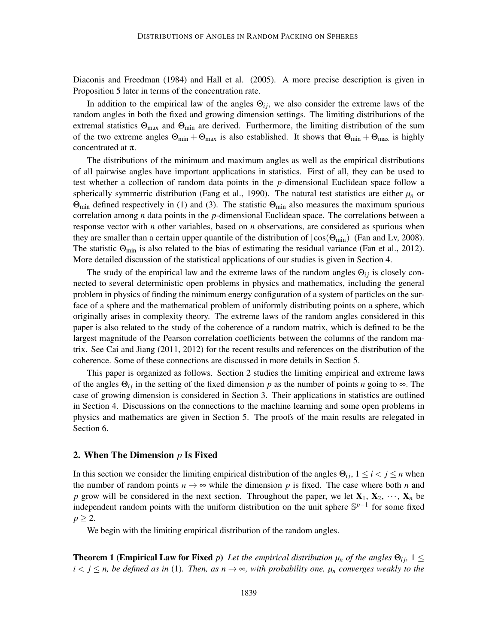Diaconis and Freedman (1984) and Hall et al. (2005). A more precise description is given in Proposition 5 later in terms of the concentration rate.

In addition to the empirical law of the angles  $\Theta_{ij}$ , we also consider the extreme laws of the random angles in both the fixed and growing dimension settings. The limiting distributions of the extremal statistics  $\Theta_{\text{max}}$  and  $\Theta_{\text{min}}$  are derived. Furthermore, the limiting distribution of the sum of the two extreme angles  $\Theta_{\min} + \Theta_{\max}$  is also established. It shows that  $\Theta_{\min} + \Theta_{\max}$  is highly concentrated at π.

The distributions of the minimum and maximum angles as well as the empirical distributions of all pairwise angles have important applications in statistics. First of all, they can be used to test whether a collection of random data points in the *p*-dimensional Euclidean space follow a spherically symmetric distribution (Fang et al., 1990). The natural test statistics are either  $\mu_n$  or  $\Theta_{\text{min}}$  defined respectively in (1) and (3). The statistic  $\Theta_{\text{min}}$  also measures the maximum spurious correlation among *n* data points in the *p*-dimensional Euclidean space. The correlations between a response vector with *n* other variables, based on *n* observations, are considered as spurious when they are smaller than a certain upper quantile of the distribution of  $|\cos(\Theta_{\text{min}})|$  (Fan and Lv, 2008). The statistic  $\Theta_{\text{min}}$  is also related to the bias of estimating the residual variance (Fan et al., 2012). More detailed discussion of the statistical applications of our studies is given in Section 4.

The study of the empirical law and the extreme laws of the random angles  $\Theta_{ij}$  is closely connected to several deterministic open problems in physics and mathematics, including the general problem in physics of finding the minimum energy configuration of a system of particles on the surface of a sphere and the mathematical problem of uniformly distributing points on a sphere, which originally arises in complexity theory. The extreme laws of the random angles considered in this paper is also related to the study of the coherence of a random matrix, which is defined to be the largest magnitude of the Pearson correlation coefficients between the columns of the random matrix. See Cai and Jiang (2011, 2012) for the recent results and references on the distribution of the coherence. Some of these connections are discussed in more details in Section 5.

This paper is organized as follows. Section 2 studies the limiting empirical and extreme laws of the angles  $\Theta_{ij}$  in the setting of the fixed dimension p as the number of points *n* going to  $\infty$ . The case of growing dimension is considered in Section 3. Their applications in statistics are outlined in Section 4. Discussions on the connections to the machine learning and some open problems in physics and mathematics are given in Section 5. The proofs of the main results are relegated in Section 6.

# 2. When The Dimension *p* Is Fixed

In this section we consider the limiting empirical distribution of the angles  $\Theta_{ij}$ ,  $1 \le i < j \le n$  when the number of random points  $n \to \infty$  while the dimension p is fixed. The case where both n and *p* grow will be considered in the next section. Throughout the paper, we let  $X_1, X_2, \dots, X_n$  be independent random points with the uniform distribution on the unit sphere S *p*−1 for some fixed  $p \geq 2$ .

We begin with the limiting empirical distribution of the random angles.

**Theorem 1 (Empirical Law for Fixed** *p*) Let the empirical distribution  $\mu_n$  of the angles  $\Theta_{ij}$ ,  $1 \leq$  $i < j \le n$ , be defined as in (1). Then, as  $n \to \infty$ , with probability one,  $\mu_n$  converges weakly to the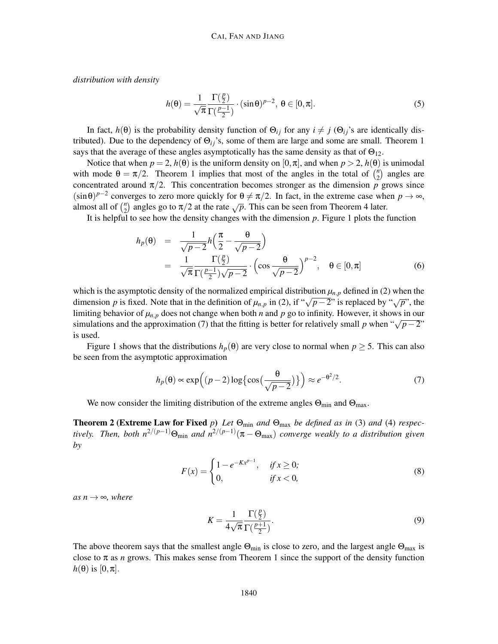*distribution with density*

$$
h(\theta) = \frac{1}{\sqrt{\pi}} \frac{\Gamma(\frac{p}{2})}{\Gamma(\frac{p-1}{2})} \cdot (\sin \theta)^{p-2}, \ \theta \in [0, \pi].
$$
 (5)

In fact,  $h(\theta)$  is the probability density function of  $\Theta_{ij}$  for any  $i \neq j$  ( $\Theta_{ij}$ 's are identically distributed). Due to the dependency of Θ*i j*'s, some of them are large and some are small. Theorem 1 says that the average of these angles asymptotically has the same density as that of  $\Theta_{12}$ .

Notice that when  $p = 2$ ,  $h(\theta)$  is the uniform density on  $[0, \pi]$ , and when  $p > 2$ ,  $h(\theta)$  is unimodal with mode  $\theta = \pi/2$ . Theorem 1 implies that most of the angles in the total of  $\binom{n}{2}$  $n_2$  angles are concentrated around  $\pi/2$ . This concentration becomes stronger as the dimension *p* grows since  $(\sin \theta)^{p-2}$  converges to zero more quickly for  $\theta \neq \pi/2$ . In fact, in the extreme case when  $p \to \infty$ , almost all of  $\binom{n}{2}$  $n_2$ <sup>n</sup>) angles go to  $\pi/2$  at the rate  $\sqrt{p}$ . This can be seen from Theorem 4 later.

It is helpful to see how the density changes with the dimension *p*. Figure 1 plots the function

$$
h_p(\theta) = \frac{1}{\sqrt{p-2}} h\left(\frac{\pi}{2} - \frac{\theta}{\sqrt{p-2}}\right)
$$
  
= 
$$
\frac{1}{\sqrt{\pi}} \frac{\Gamma(\frac{p}{2})}{\Gamma(\frac{p-1}{2})\sqrt{p-2}} \cdot \left(\cos \frac{\theta}{\sqrt{p-2}}\right)^{p-2}, \quad \theta \in [0, \pi]
$$
 (6)

which is the asymptotic density of the normalized empirical distribution  $\mu_{n,p}$  defined in (2) when the dimension *p* is fixed. Note that in the definition of  $\mu_{n,p}$  in (2), if " $\sqrt{p-2}$ " is replaced by " $\sqrt{p}$ ", the limiting behavior of  $\mu_{n,p}$  does not change when both *n* and *p* go to infinity. However, it shows in our simulations and the approximation (7) that the fitting is better for relatively small *p* when " $\sqrt{p-2}$ " is used.

Figure 1 shows that the distributions  $h_p(\theta)$  are very close to normal when  $p \ge 5$ . This can also be seen from the asymptotic approximation

$$
h_p(\theta) \propto \exp\left((p-2)\log\left\{\cos\left(\frac{\theta}{\sqrt{p-2}}\right)\right\}\right) \approx e^{-\theta^2/2}.\tag{7}
$$

We now consider the limiting distribution of the extreme angles  $\Theta_{\min}$  and  $\Theta_{\max}$ .

**Theorem 2 (Extreme Law for Fixed** p) Let  $\Theta_{\text{min}}$  and  $\Theta_{\text{max}}$  be defined as in (3) and (4) respec*tively.* Then, both  $n^{2/(p-1)}$ Θ<sub>min</sub> and  $n^{2/(p-1)}(π − Θ_{max})$  converge weakly to a distribution given *by*

$$
F(x) = \begin{cases} 1 - e^{-Kx^{p-1}}, & \text{if } x \ge 0; \\ 0, & \text{if } x < 0, \end{cases}
$$
 (8)

 $as n \rightarrow \infty$ *, where* 

$$
K = \frac{1}{4\sqrt{\pi}} \frac{\Gamma(\frac{p}{2})}{\Gamma(\frac{p+1}{2})}.
$$
\n(9)

The above theorem says that the smallest angle  $\Theta_{\text{min}}$  is close to zero, and the largest angle  $\Theta_{\text{max}}$  is close to  $\pi$  as *n* grows. This makes sense from Theorem 1 since the support of the density function  $h(\theta)$  is [0, $\pi$ ].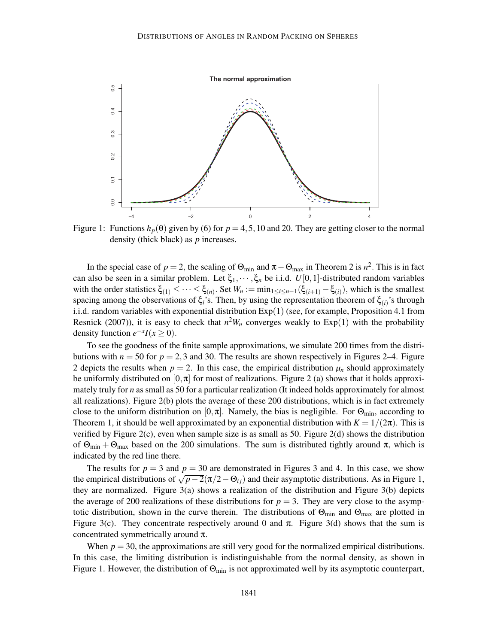

Figure 1: Functions  $h_p(\theta)$  given by (6) for  $p = 4, 5, 10$  and 20. They are getting closer to the normal density (thick black) as *p* increases.

In the special case of  $p = 2$ , the scaling of  $\Theta_{\min}$  and  $\pi - \Theta_{\max}$  in Theorem 2 is  $n^2$ . This is in fact can also be seen in a similar problem. Let  $\xi_1, \dots, \xi_n$  be i.i.d.  $U[0,1]$ -distributed random variables with the order statistics  $\xi_{(1)} \leq \cdots \leq \xi_{(n)}$ . Set  $W_n := \min_{1 \leq i \leq n-1} (\xi_{(i+1)} - \xi_{(i)})$ , which is the smallest spacing among the observations of  $\xi_i$ 's. Then, by using the representation theorem of  $\xi_{(i)}$ 's through i.i.d. random variables with exponential distribution Exp(1) (see, for example, Proposition 4.1 from Resnick (2007)), it is easy to check that  $n^2W_n$  converges weakly to  $Exp(1)$  with the probability density function  $e^{-x}I(x \ge 0)$ .

To see the goodness of the finite sample approximations, we simulate 200 times from the distributions with  $n = 50$  for  $p = 2,3$  and 30. The results are shown respectively in Figures 2–4. Figure 2 depicts the results when  $p = 2$ . In this case, the empirical distribution  $\mu_n$  should approximately be uniformly distributed on  $[0, \pi]$  for most of realizations. Figure 2 (a) shows that it holds approximately truly for *n* as small as 50 for a particular realization (It indeed holds approximately for almost all realizations). Figure 2(b) plots the average of these 200 distributions, which is in fact extremely close to the uniform distribution on  $[0, \pi]$ . Namely, the bias is negligible. For  $\Theta_{\min}$ , according to Theorem 1, it should be well approximated by an exponential distribution with  $K = 1/(2\pi)$ . This is verified by Figure 2(c), even when sample size is as small as 50. Figure 2(d) shows the distribution of  $\Theta_{\text{min}} + \Theta_{\text{max}}$  based on the 200 simulations. The sum is distributed tightly around  $\pi$ , which is indicated by the red line there.

The results for  $p = 3$  and  $p = 30$  are demonstrated in Figures 3 and 4. In this case, we show the empirical distributions of  $\sqrt{p-2}(\pi/2-\Theta_{ij})$  and their asymptotic distributions. As in Figure 1, they are normalized. Figure  $3(a)$  shows a realization of the distribution and Figure  $3(b)$  depicts the average of 200 realizations of these distributions for  $p = 3$ . They are very close to the asymptotic distribution, shown in the curve therein. The distributions of  $\Theta_{\text{min}}$  and  $\Theta_{\text{max}}$  are plotted in Figure 3(c). They concentrate respectively around 0 and  $\pi$ . Figure 3(d) shows that the sum is concentrated symmetrically around  $\pi$ .

When  $p = 30$ , the approximations are still very good for the normalized empirical distributions. In this case, the limiting distribution is indistinguishable from the normal density, as shown in Figure 1. However, the distribution of  $\Theta_{\min}$  is not approximated well by its asymptotic counterpart,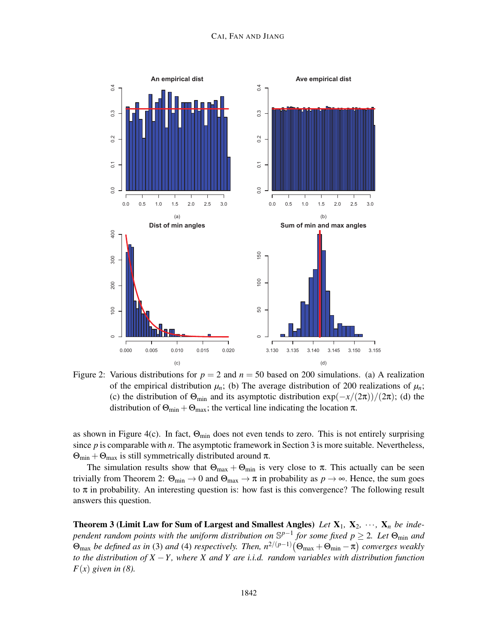

Figure 2: Various distributions for  $p = 2$  and  $n = 50$  based on 200 simulations. (a) A realization of the empirical distribution  $\mu_n$ ; (b) The average distribution of 200 realizations of  $\mu_n$ ; (c) the distribution of  $\Theta_{\text{min}}$  and its asymptotic distribution  $\exp(-x/(2\pi))/(2\pi)$ ; (d) the distribution of  $\Theta_{\text{min}} + \Theta_{\text{max}}$ ; the vertical line indicating the location  $\pi$ .

as shown in Figure 4(c). In fact,  $\Theta_{\min}$  does not even tends to zero. This is not entirely surprising since *p* is comparable with *n*. The asymptotic framework in Section 3 is more suitable. Nevertheless,  $\Theta_{\text{min}} + \Theta_{\text{max}}$  is still symmetrically distributed around  $\pi$ .

The simulation results show that  $\Theta_{\text{max}} + \Theta_{\text{min}}$  is very close to  $\pi$ . This actually can be seen trivially from Theorem 2:  $\Theta_{min} \to 0$  and  $\Theta_{max} \to \pi$  in probability as  $p \to \infty$ . Hence, the sum goes to  $\pi$  in probability. An interesting question is: how fast is this convergence? The following result answers this question.

**Theorem 3 (Limit Law for Sum of Largest and Smallest Angles)** Let  $X_1$ ,  $X_2$ ,  $\cdots$ ,  $X_n$  be inde*pendent random points with the uniform distribution on*  $\mathbb{S}^{p-1}$  *for some fixed p*  $\geq$  2*. Let*  $\Theta_{\min}$  *and*  $\Theta_{\text{max}}$  *be defined as in* (3) *and* (4) *respectively. Then,*  $n^{2/(p-1)}(\Theta_{\text{max}} + \Theta_{\text{min}} - \pi)$  *converges weakly to the distribution of X* −*Y , where X and Y are i.i.d. random variables with distribution function*  $F(x)$  given in (8).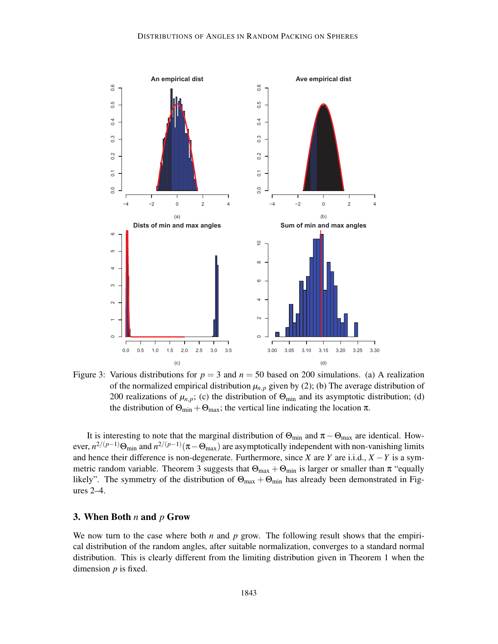

Figure 3: Various distributions for  $p = 3$  and  $n = 50$  based on 200 simulations. (a) A realization of the normalized empirical distribution  $\mu_{n,p}$  given by (2); (b) The average distribution of 200 realizations of  $\mu_{n,p}$ ; (c) the distribution of  $\Theta_{\text{min}}$  and its asymptotic distribution; (d) the distribution of  $\Theta_{\text{min}} + \Theta_{\text{max}}$ ; the vertical line indicating the location  $\pi$ .

It is interesting to note that the marginal distribution of  $\Theta_{min}$  and  $\pi - \Theta_{max}$  are identical. However,  $n^{2/(p-1)}\Theta_{\text{min}}$  and  $n^{2/(p-1)}(\pi-\Theta_{\text{max}})$  are asymptotically independent with non-vanishing limits and hence their difference is non-degenerate. Furthermore, since *X* are *Y* are i.i.d.,  $X - Y$  is a symmetric random variable. Theorem 3 suggests that  $\Theta_{\text{max}} + \Theta_{\text{min}}$  is larger or smaller than  $\pi$  "equally likely". The symmetry of the distribution of  $\Theta_{\text{max}} + \Theta_{\text{min}}$  has already been demonstrated in Figures 2–4.

### 3. When Both *n* and *p* Grow

We now turn to the case where both  $n$  and  $p$  grow. The following result shows that the empirical distribution of the random angles, after suitable normalization, converges to a standard normal distribution. This is clearly different from the limiting distribution given in Theorem 1 when the dimension *p* is fixed.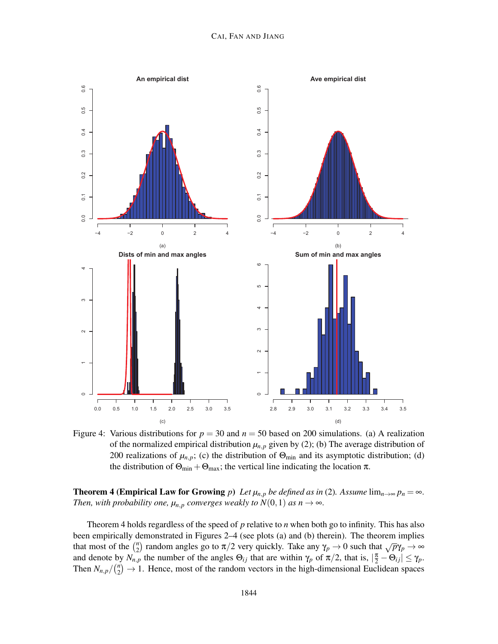

Figure 4: Various distributions for  $p = 30$  and  $n = 50$  based on 200 simulations. (a) A realization of the normalized empirical distribution  $\mu_{n,p}$  given by (2); (b) The average distribution of 200 realizations of  $\mu_{n,p}$ ; (c) the distribution of  $\Theta_{\text{min}}$  and its asymptotic distribution; (d) the distribution of  $\Theta_{\text{min}} + \Theta_{\text{max}}$ ; the vertical line indicating the location  $\pi$ .

**Theorem 4 (Empirical Law for Growing** *p*) *Let*  $\mu_{n,p}$  *be defined as in* (2)*. Assume* lim $_{n\to\infty}$   $p_n = \infty$ *. Then, with probability one,*  $\mu_{n,p}$  *converges weakly to*  $N(0,1)$  *as*  $n \to \infty$ *.* 

Theorem 4 holds regardless of the speed of *p* relative to *n* when both go to infinity. This has also been empirically demonstrated in Figures 2–4 (see plots (a) and (b) therein). The theorem implies that most of the  $\binom{n}{2}$ <sup>n</sup><sub>2</sub>) random angles go to π/2 very quickly. Take any  $\gamma_p \to 0$  such that  $\sqrt{p}\gamma_p \to \infty$ and denote by  $N_{n,p}$  the number of the angles  $\Theta_{ij}$  that are within  $\gamma_p$  of  $\pi/2$ , that is,  $|\frac{\pi}{2} - \Theta_{ij}| \leq \gamma_p$ . Then  $N_{n,p}/\binom{n}{2}$  $n_2$ <sup>n</sup> $\rightarrow$  1. Hence, most of the random vectors in the high-dimensional Euclidean spaces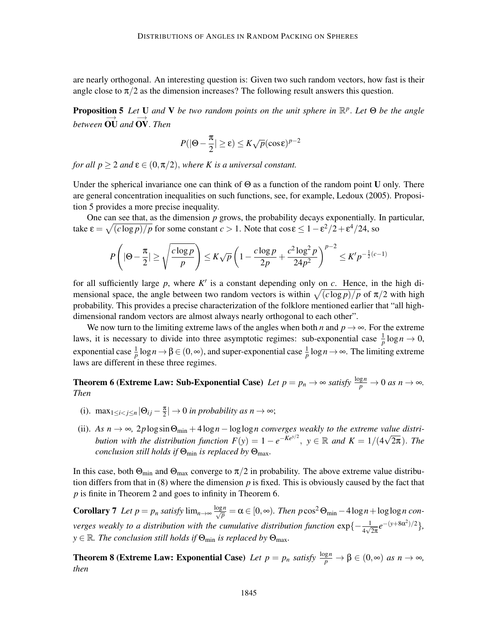are nearly orthogonal. An interesting question is: Given two such random vectors, how fast is their angle close to  $\pi/2$  as the dimension increases? The following result answers this question.

Proposition 5 *Let* U *and* V *be two random points on the unit sphere in* R *p* . *Let* Θ *be the angle between* ⊙U and ⊙V. *Then* 

$$
P(|\Theta - \frac{\pi}{2}| \ge \varepsilon) \le K\sqrt{p}(\cos \varepsilon)^{p-2}
$$

*for all*  $p \geq 2$  *and*  $\varepsilon \in (0, \pi/2)$ *, where K is a universal constant.* 

Under the spherical invariance one can think of  $\Theta$  as a function of the random point U only. There are general concentration inequalities on such functions, see, for example, Ledoux (2005). Proposition 5 provides a more precise inequality.

One can see that, as the dimension *p* grows, the probability decays exponentially. In particular, take  $\varepsilon = \sqrt{(c \log p)/p}$  for some constant  $c > 1$ . Note that  $\cos \varepsilon \leq 1 - \varepsilon^2/2 + \varepsilon^4/24$ , so

$$
P\left(|\Theta - \frac{\pi}{2}| \ge \sqrt{\frac{c\log p}{p}}\right) \le K\sqrt{p}\left(1 - \frac{c\log p}{2p} + \frac{c^2\log^2 p}{24p^2}\right)^{p-2} \le K'p^{-\frac{1}{2}(c-1)}
$$

for all sufficiently large *p*, where *K* ′ is a constant depending only on *c*. Hence, in the high dimensional space, the angle between two random vectors is within  $\sqrt{(c \log p)/p}$  of  $\pi/2$  with high probability. This provides a precise characterization of the folklore mentioned earlier that "all highdimensional random vectors are almost always nearly orthogonal to each other".

We now turn to the limiting extreme laws of the angles when both *n* and  $p \rightarrow \infty$ . For the extreme laws, it is necessary to divide into three asymptotic regimes: sub-exponential case  $\frac{1}{p} \log n \to 0$ , exponential case  $\frac{1}{p} \log n \to \beta \in (0, \infty)$ , and super-exponential case  $\frac{1}{p} \log n \to \infty$ . The limiting extreme laws are different in these three regimes.

**Theorem 6 (Extreme Law: Sub-Exponential Case)** Let  $p = p_n \to \infty$  satisfy  $\frac{\log n}{p} \to 0$  as  $n \to \infty$ . *Then*

- (i). max<sub>1≤*i*<*j*≤*n* |  $\Theta_{ij} \frac{\pi}{2}$ </sub>  $\frac{\pi}{2}$ |  $\rightarrow$  0 *in probability as n*  $\rightarrow$   $\infty$ ;
- (ii). As  $n \to \infty$ , 2plog sin  $\Theta_{\min} + 4\log n \log \log n$  converges weakly to the extreme value distri*bution with the distribution function*  $F(y) = 1 - e^{-Ke^{y/2}}$ ,  $y \in \mathbb{R}$  and  $K = 1/(4\sqrt{2\pi})$ . The *conclusion still holds if* Θmin *is replaced by* Θmax*.*

In this case, both  $\Theta_{\text{min}}$  and  $\Theta_{\text{max}}$  converge to  $\pi/2$  in probability. The above extreme value distribution differs from that in (8) where the dimension *p* is fixed. This is obviously caused by the fact that *p* is finite in Theorem 2 and goes to infinity in Theorem 6.

**Corollary 7** Let  $p = p_n$  satisfy  $\lim_{n \to \infty} \frac{\log n}{\sqrt{p}} = \alpha \in [0, \infty)$ . Then  $p \cos^2 \Theta_{\min} - 4 \log n + \log \log n$  con*verges weakly to a distribution with the cumulative distribution function*  $\exp\{-\frac{1}{4\sqrt{2\pi}}e^{-(y+8\alpha^2)/2}\},$  $y \in \mathbb{R}$ *. The conclusion still holds if*  $\Theta_{\min}$  *is replaced by*  $\Theta_{\max}$ *.* 

**Theorem 8 (Extreme Law: Exponential Case)** Let  $p = p_n$  satisfy  $\frac{\log n}{p} \to \beta \in (0, \infty)$  as  $n \to \infty$ , *then*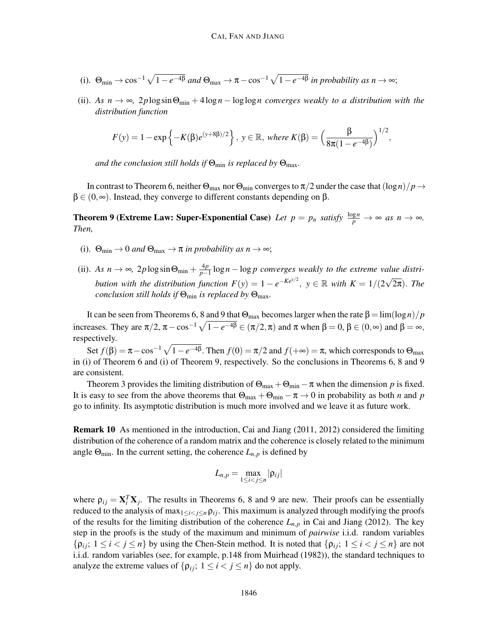- (i).  $\Theta_{\min} \to \cos^{-1} \sqrt{1 e^{-4\beta}}$  and  $\Theta_{\max} \to \pi \cos^{-1} \sqrt{1 e^{-4\beta}}$  in probability as  $n \to \infty$ ;
- (ii). As  $n \to \infty$ , 2*p*log sin $\Theta_{\min} + 4\log n \log \log n$  converges weakly to a distribution with the *distribution function*

$$
F(y) = 1 - \exp\{-K(\beta)e^{(y+8\beta)/2}\}, y \in \mathbb{R}, \text{ where } K(\beta) = \left(\frac{\beta}{8\pi(1-e^{-4\beta})}\right)^{1/2},
$$

*and the conclusion still holds if*  $\Theta_{\min}$  *is replaced by*  $\Theta_{\max}$ *.* 

In contrast to Theorem 6, neither  $\Theta_{\text{max}}$  nor  $\Theta_{\text{min}}$  converges to  $\pi/2$  under the case that  $(\log n)/p \rightarrow$  $\beta \in (0, \infty)$ . Instead, they converge to different constants depending on  $\beta$ .

**Theorem 9 (Extreme Law: Super-Exponential Case)** Let  $p = p_n$  satisfy  $\frac{\log n}{p} \to \infty$  as  $n \to \infty$ . *Then,*

- (i).  $\Theta_{\min} \to 0$  *and*  $\Theta_{\max} \to \pi$  *in probability as*  $n \to \infty$ ;
- (ii). *As*  $n \to \infty$ , 2*p* log sin  $\Theta_{\min} + \frac{4p}{p-1}$ *p*−1 log*n* − log *p converges weakly to the extreme value distribution with the distribution function*  $F(y) = 1 - e^{-Ke^{y/2}}$ ,  $y \in \mathbb{R}$  with  $K = 1/(2\sqrt{2\pi})$ . The *conclusion still holds if*  $\Theta_{\min}$  *is replaced by*  $\Theta_{\max}$ *.*

It can be seen from Theorems 6, 8 and 9 that  $Θ_{\text{max}}$  becomes larger when the rate  $β = \lim(\log n)/p$ increases. They are  $\pi/2$ ,  $\pi - \cos^{-1}\sqrt{1 - e^{-4\beta}} \in (\pi/2, \pi)$  and  $\pi$  when  $\beta = 0$ ,  $\beta \in (0, \infty)$  and  $\beta = \infty$ , respectively.

Set  $f(\beta) = \pi - \cos^{-1} \sqrt{1 - e^{-4\beta}}$ . Then  $f(0) = \pi/2$  and  $f(+\infty) = \pi$ , which corresponds to  $\Theta_{\text{max}}$ in (i) of Theorem 6 and (i) of Theorem 9, respectively. So the conclusions in Theorems 6, 8 and 9 are consistent.

Theorem 3 provides the limiting distribution of  $\Theta_{\text{max}} + \Theta_{\text{min}} - \pi$  when the dimension *p* is fixed. It is easy to see from the above theorems that  $\Theta_{\text{max}} + \Theta_{\text{min}} - \pi \rightarrow 0$  in probability as both *n* and *p* go to infinity. Its asymptotic distribution is much more involved and we leave it as future work.

Remark 10 As mentioned in the introduction, Cai and Jiang (2011, 2012) considered the limiting distribution of the coherence of a random matrix and the coherence is closely related to the minimum angle  $\Theta_{\text{min}}$ . In the current setting, the coherence  $L_{n,p}$  is defined by

$$
L_{n,p}=\max_{1\leq i
$$

where  $\rho_{ij} = \mathbf{X}_i^T \mathbf{X}_j$ . The results in Theorems 6, 8 and 9 are new. Their proofs can be essentially reduced to the analysis of max<sub>1≤*i*≤*j*≤*n*  $\rho$ *ij*. This maximum is analyzed through modifying the proofs</sub> of the results for the limiting distribution of the coherence  $L_{n,p}$  in Cai and Jiang (2012). The key step in the proofs is the study of the maximum and minimum of *pairwise* i.i.d. random variables  $\{ \rho_{ij}; 1 \leq i < j \leq n \}$  by using the Chen-Stein method. It is noted that  $\{ \rho_{ij}; 1 \leq i < j \leq n \}$  are not i.i.d. random variables (see, for example, p.148 from Muirhead (1982)), the standard techniques to analyze the extreme values of  $\{\rho_{ij}; 1 \le i < j \le n\}$  do not apply.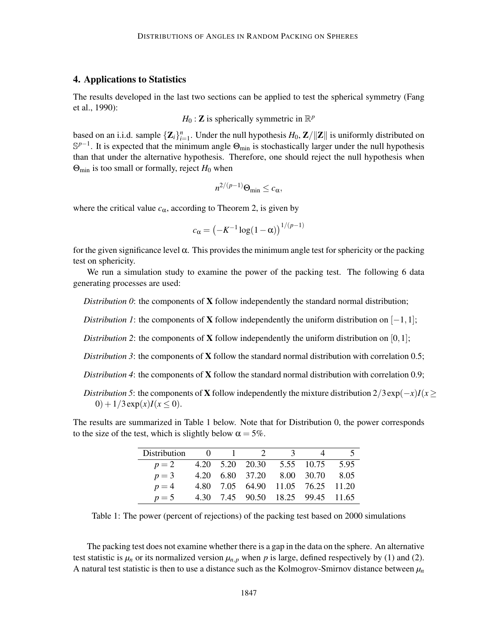# 4. Applications to Statistics

The results developed in the last two sections can be applied to test the spherical symmetry (Fang et al., 1990):

$$
H_0
$$
: Z is spherically symmetric in  $\mathbb{R}^p$ 

based on an i.i.d. sample  $\{Z_i\}_{i=1}^n$ . Under the null hypothesis  $H_0$ ,  $\mathbb{Z}/\|\mathbb{Z}\|$  is uniformly distributed on  $\mathbb{S}^{p-1}$ . It is expected that the minimum angle  $\Theta_{min}$  is stochastically larger under the null hypothesis than that under the alternative hypothesis. Therefore, one should reject the null hypothesis when  $\Theta_{\text{min}}$  is too small or formally, reject  $H_0$  when

$$
n^{2/(p-1)}\Theta_{\min} \leq c_{\alpha},
$$

where the critical value  $c_{\alpha}$ , according to Theorem 2, is given by

$$
c_{\alpha} = \left(-K^{-1}\log(1-\alpha)\right)^{1/(p-1)}
$$

for the given significance level  $\alpha$ . This provides the minimum angle test for sphericity or the packing test on sphericity.

We run a simulation study to examine the power of the packing test. The following 6 data generating processes are used:

*Distribution 0*: the components of **X** follow independently the standard normal distribution;

*Distribution 1*: the components of **X** follow independently the uniform distribution on  $[-1,1]$ ;

*Distribution 2*: the components of **X** follow independently the uniform distribution on  $[0,1]$ ;

*Distribution 3*: the components of **X** follow the standard normal distribution with correlation 0.5;

*Distribution 4*: the components of X follow the standard normal distribution with correlation 0.9;

*Distribution 5*: the components of **X** follow independently the mixture distribution  $2/3 \exp(-x)I(x \geq 0)$ 0) +  $1/3 \exp(x)I(x < 0)$ .

The results are summarized in Table 1 below. Note that for Distribution 0, the power corresponds to the size of the test, which is slightly below  $\alpha = 5\%$ .

| <b>Distribution</b> |  | 0 1 2 3 | 4                                 |  |
|---------------------|--|---------|-----------------------------------|--|
| $p=2$               |  |         | 4.20 5.20 20.30 5.55 10.75 5.95   |  |
| $p=3$               |  |         | 4.20 6.80 37.20 8.00 30.70 8.05   |  |
| $p=4$               |  |         | 4.80 7.05 64.90 11.05 76.25 11.20 |  |
| $p=5$               |  |         | 4.30 7.45 90.50 18.25 99.45 11.65 |  |

Table 1: The power (percent of rejections) of the packing test based on 2000 simulations

The packing test does not examine whether there is a gap in the data on the sphere. An alternative test statistic is  $\mu_n$  or its normalized version  $\mu_{n,p}$  when p is large, defined respectively by (1) and (2). A natural test statistic is then to use a distance such as the Kolmogrov-Smirnov distance between  $\mu_n$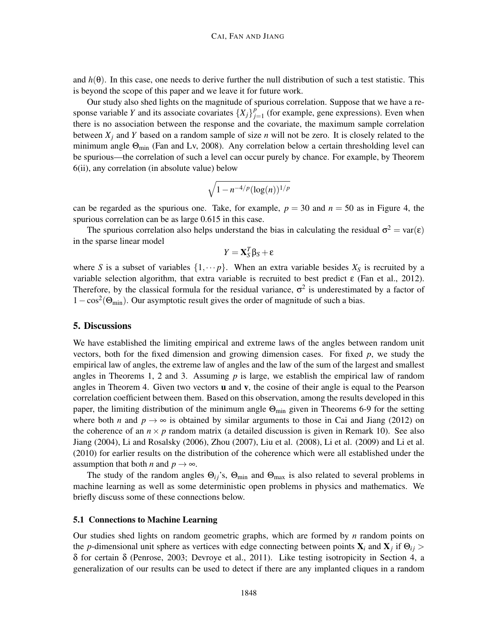and  $h(\theta)$ . In this case, one needs to derive further the null distribution of such a test statistic. This is beyond the scope of this paper and we leave it for future work.

Our study also shed lights on the magnitude of spurious correlation. Suppose that we have a response variable *Y* and its associate covariates  $\{X_j\}_{j=1}^p$  $j_{j=1}^{p}$  (for example, gene expressions). Even when there is no association between the response and the covariate, the maximum sample correlation between  $X_i$  and  $Y$  based on a random sample of size  $n$  will not be zero. It is closely related to the minimum angle  $\Theta_{\text{min}}$  (Fan and Lv, 2008). Any correlation below a certain thresholding level can be spurious—the correlation of such a level can occur purely by chance. For example, by Theorem 6(ii), any correlation (in absolute value) below

$$
\sqrt{1-n^{-4/p}(\log(n))^{1/p}}
$$

can be regarded as the spurious one. Take, for example,  $p = 30$  and  $n = 50$  as in Figure 4, the spurious correlation can be as large 0.615 in this case.

The spurious correlation also helps understand the bias in calculating the residual  $\sigma^2 = \text{var}(\varepsilon)$ in the sparse linear model

$$
Y = \mathbf{X}_S^T \boldsymbol{\beta}_S + \boldsymbol{\epsilon}
$$

where *S* is a subset of variables  $\{1, \dots p\}$ . When an extra variable besides  $X_S$  is recruited by a variable selection algorithm, that extra variable is recruited to best predict  $\varepsilon$  (Fan et al., 2012). Therefore, by the classical formula for the residual variance,  $\sigma^2$  is underestimated by a factor of  $1 - \cos^2(\Theta_{\text{min}})$ . Our asymptotic result gives the order of magnitude of such a bias.

### 5. Discussions

We have established the limiting empirical and extreme laws of the angles between random unit vectors, both for the fixed dimension and growing dimension cases. For fixed  $p$ , we study the empirical law of angles, the extreme law of angles and the law of the sum of the largest and smallest angles in Theorems 1, 2 and 3. Assuming  $p$  is large, we establish the empirical law of random angles in Theorem 4. Given two vectors  $\bf{u}$  and  $\bf{v}$ , the cosine of their angle is equal to the Pearson correlation coefficient between them. Based on this observation, among the results developed in this paper, the limiting distribution of the minimum angle  $\Theta_{\text{min}}$  given in Theorems 6-9 for the setting where both *n* and  $p \rightarrow \infty$  is obtained by similar arguments to those in Cai and Jiang (2012) on the coherence of an  $n \times p$  random matrix (a detailed discussion is given in Remark 10). See also Jiang (2004), Li and Rosalsky (2006), Zhou (2007), Liu et al. (2008), Li et al. (2009) and Li et al. (2010) for earlier results on the distribution of the coherence which were all established under the assumption that both *n* and  $p \rightarrow \infty$ .

The study of the random angles  $\Theta_{ij}$ 's,  $\Theta_{\min}$  and  $\Theta_{\max}$  is also related to several problems in machine learning as well as some deterministic open problems in physics and mathematics. We briefly discuss some of these connections below.

### 5.1 Connections to Machine Learning

Our studies shed lights on random geometric graphs, which are formed by *n* random points on the *p*-dimensional unit sphere as vertices with edge connecting between points  $\mathbf{X}_i$  and  $\mathbf{X}_j$  if  $\Theta_{ij}$ δ for certain δ (Penrose, 2003; Devroye et al., 2011). Like testing isotropicity in Section 4, a generalization of our results can be used to detect if there are any implanted cliques in a random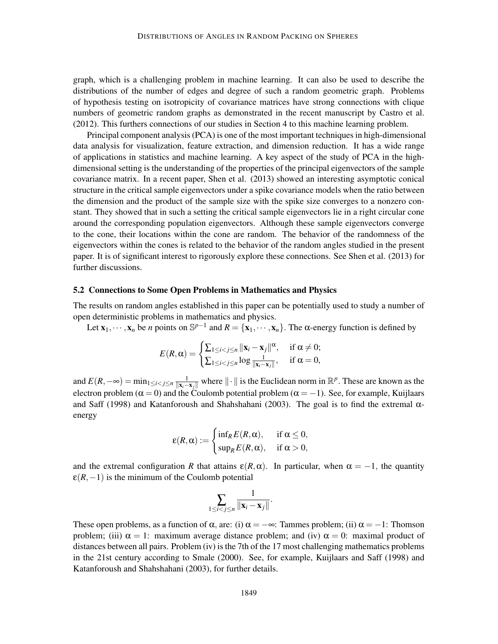graph, which is a challenging problem in machine learning. It can also be used to describe the distributions of the number of edges and degree of such a random geometric graph. Problems of hypothesis testing on isotropicity of covariance matrices have strong connections with clique numbers of geometric random graphs as demonstrated in the recent manuscript by Castro et al. (2012). This furthers connections of our studies in Section 4 to this machine learning problem.

Principal component analysis (PCA) is one of the most important techniquesin high-dimensional data analysis for visualization, feature extraction, and dimension reduction. It has a wide range of applications in statistics and machine learning. A key aspect of the study of PCA in the highdimensional setting is the understanding of the properties of the principal eigenvectors of the sample covariance matrix. In a recent paper, Shen et al. (2013) showed an interesting asymptotic conical structure in the critical sample eigenvectors under a spike covariance models when the ratio between the dimension and the product of the sample size with the spike size converges to a nonzero constant. They showed that in such a setting the critical sample eigenvectors lie in a right circular cone around the corresponding population eigenvectors. Although these sample eigenvectors converge to the cone, their locations within the cone are random. The behavior of the randomness of the eigenvectors within the cones is related to the behavior of the random angles studied in the present paper. It is of significant interest to rigorously explore these connections. See Shen et al. (2013) for further discussions.

### 5.2 Connections to Some Open Problems in Mathematics and Physics

The results on random angles established in this paper can be potentially used to study a number of open deterministic problems in mathematics and physics.

Let  $\mathbf{x}_1, \dots, \mathbf{x}_n$  be *n* points on  $\mathbb{S}^{p-1}$  and  $R = {\mathbf{x}_1, \dots, \mathbf{x}_n}$ . The  $\alpha$ -energy function is defined by

$$
E(R, \alpha) = \begin{cases} \sum_{1 \leq i < j \leq n} \|\mathbf{x}_i - \mathbf{x}_j\|^{\alpha}, & \text{if } \alpha \neq 0; \\ \sum_{1 \leq i < j \leq n} \log \frac{1}{\|\mathbf{x}_i - \mathbf{x}_j\|}, & \text{if } \alpha = 0, \end{cases}
$$

and  $E(R, -\infty) = \min_{1 \le i < j \le n} \frac{1}{\|\mathbf{x}_i - \mathbf{x}_j\|}$  where  $\|\cdot\|$  is the Euclidean norm in  $\mathbb{R}^p$ . These are known as the electron problem ( $\alpha = 0$ ) and the Coulomb potential problem ( $\alpha = -1$ ). See, for example, Kuijlaars and Saff (1998) and Katanforoush and Shahshahani (2003). The goal is to find the extremal  $\alpha$ energy

$$
\varepsilon(R,\alpha) := \begin{cases} \inf_{R} E(R,\alpha), & \text{if } \alpha \leq 0, \\ \sup_{R} E(R,\alpha), & \text{if } \alpha > 0, \end{cases}
$$

and the extremal configuration *R* that attains  $\varepsilon(R,\alpha)$ . In particular, when  $\alpha = -1$ , the quantity  $\varepsilon(R,-1)$  is the minimum of the Coulomb potential

$$
\sum_{1\leq i
$$

These open problems, as a function of  $\alpha$ , are: (i)  $\alpha = -\infty$ : Tammes problem; (ii)  $\alpha = -1$ : Thomson problem; (iii)  $\alpha = 1$ : maximum average distance problem; and (iv)  $\alpha = 0$ : maximal product of distances between all pairs. Problem (iv) is the 7th of the 17 most challenging mathematics problems in the 21st century according to Smale (2000). See, for example, Kuijlaars and Saff (1998) and Katanforoush and Shahshahani (2003), for further details.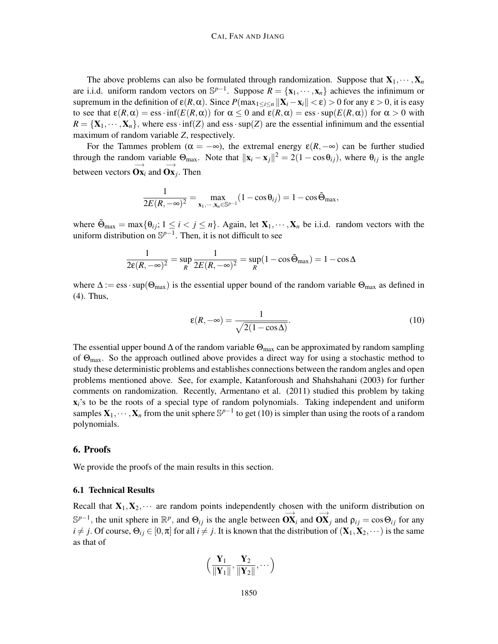The above problems can also be formulated through randomization. Suppose that  $X_1, \dots, X_n$ are i.i.d. uniform random vectors on  $\mathbb{S}^{p-1}$ . Suppose  $R = {\mathbf{x}_1, \dots, \mathbf{x}_n}$  achieves the infinimum or supremum in the definition of  $\varepsilon(R, \alpha)$ . Since  $P(\max_{1 \leq i \leq n} ||\mathbf{X}_i - \mathbf{x}_i|| < \varepsilon) > 0$  for any  $\varepsilon > 0$ , it is easy to see that  $\varepsilon(R,\alpha) = \text{ess}\cdot\inf(E(R,\alpha))$  for  $\alpha \leq 0$  and  $\varepsilon(R,\alpha) = \text{ess}\cdot\sup(E(R,\alpha))$  for  $\alpha > 0$  with  $R = \{X_1, \dots, X_n\}$ , where ess  $\cdot$  inf(*Z*) and ess  $\cdot$  sup(*Z*) are the essential infinimum and the essential maximum of random variable *Z*, respectively.

For the Tammes problem ( $\alpha = -\infty$ ), the extremal energy  $\varepsilon(R, -\infty)$  can be further studied through the random variable  $\Theta_{\text{max}}$ . Note that  $||\mathbf{x}_i - \mathbf{x}_j||^2 = 2(1 - \cos \theta_{ij})$ , where  $\theta_{ij}$  is the angle between vectors  $\overrightarrow{\mathbf{Ox}}_i$  and  $\overrightarrow{\mathbf{Ox}}_j$ . Then

$$
\frac{1}{2E(R, -\infty)^2} = \max_{\mathbf{x}_1, \cdots, \mathbf{x}_n \in \mathbb{S}^{p-1}} (1 - \cos \theta_{ij}) = 1 - \cos \tilde{\Theta}_{\text{max}},
$$

where  $\tilde{\Theta}_{\text{max}} = \max\{\theta_{ij}; 1 \le i < j \le n\}$ . Again, let  $\mathbf{X}_1, \dots, \mathbf{X}_n$  be i.i.d. random vectors with the uniform distribution on  $\mathbb{S}^{p-1}$ . Then, it is not difficult to see

$$
\frac{1}{2\epsilon(R, -\infty)^2} = \sup_R \frac{1}{2E(R, -\infty)^2} = \sup_R (1 - \cos \tilde{\Theta}_{\text{max}}) = 1 - \cos \Delta
$$

where  $\Delta := \text{ess} \cdot \text{sup}(\Theta_{\text{max}})$  is the essential upper bound of the random variable  $\Theta_{\text{max}}$  as defined in (4). Thus,

$$
\varepsilon(R, -\infty) = \frac{1}{\sqrt{2(1 - \cos \Delta)}}.
$$
\n(10)

The essential upper bound  $\Delta$  of the random variable  $\Theta_{\text{max}}$  can be approximated by random sampling of  $\Theta_{\text{max}}$ . So the approach outlined above provides a direct way for using a stochastic method to study these deterministic problems and establishes connections between the random angles and open problems mentioned above. See, for example, Katanforoush and Shahshahani (2003) for further comments on randomization. Recently, Armentano et al. (2011) studied this problem by taking  $x_i$ 's to be the roots of a special type of random polynomials. Taking independent and uniform samples  $X_1, \dots, X_n$  from the unit sphere  $\mathbb{S}^{p-1}$  to get (10) is simpler than using the roots of a random polynomials.

### 6. Proofs

We provide the proofs of the main results in this section.

#### 6.1 Technical Results

Recall that  $X_1, X_2, \cdots$  are random points independently chosen with the uniform distribution on  $\mathbb{S}^{p-1}$ , the unit sphere in  $\mathbb{R}^p$ , and  $\Theta_{ij}$  is the angle between  $\overrightarrow{OX}_i$  and  $\overrightarrow{OX}_j$  and  $\rho_{ij} = \cos \Theta_{ij}$  for any  $i \neq j$ . Of course,  $\Theta_{ij} \in [0, \pi]$  for all  $i \neq j$ . It is known that the distribution of  $(\mathbf{X}_1, \mathbf{X}_2, \dots)$  is the same as that of

$$
\Big(\frac{Y_1}{\|Y_1\|},\frac{Y_2}{\|Y_2\|},\cdots\Big)
$$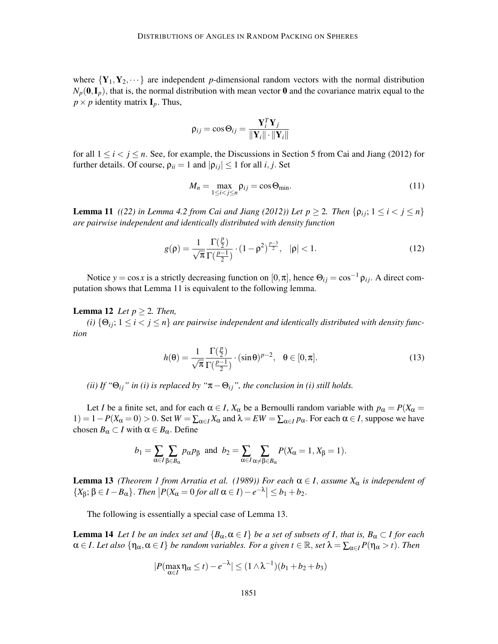where  ${Y_1, Y_2, \dots}$  are independent *p*-dimensional random vectors with the normal distribution  $N_p(\mathbf{0}, \mathbf{I}_p)$ , that is, the normal distribution with mean vector **0** and the covariance matrix equal to the  $p \times p$  identity matrix  $\mathbf{I}_p$ . Thus,

$$
\rho_{ij} = \cos \Theta_{ij} = \frac{\mathbf{Y}_i^T \mathbf{Y}_j}{\|\mathbf{Y}_i\| \cdot \|\mathbf{Y}_i\|}
$$

for all  $1 \le i \le j \le n$ . See, for example, the Discussions in Section 5 from Cai and Jiang (2012) for further details. Of course,  $\rho_{ii} = 1$  and  $|\rho_{ii}| \le 1$  for all *i*, *j*. Set

$$
M_n = \max_{1 \le i < j \le n} \rho_{ij} = \cos \Theta_{\min}.\tag{11}
$$

**Lemma 11** *((22) in Lemma 4.2 from Cai and Jiang (2012)) Let*  $p \geq 2$ *. Then*  $\{p_{ij}; 1 \leq i < j \leq n\}$ *are pairwise independent and identically distributed with density function*

$$
g(\rho) = \frac{1}{\sqrt{\pi}} \frac{\Gamma(\frac{p}{2})}{\Gamma(\frac{p-1}{2})} \cdot (1 - \rho^2)^{\frac{p-3}{2}}, \quad |\rho| < 1.
$$
 (12)

Notice  $y = \cos x$  is a strictly decreasing function on  $[0, \pi]$ , hence  $\Theta_{ij} = \cos^{-1} \rho_{ij}$ . A direct computation shows that Lemma 11 is equivalent to the following lemma.

#### **Lemma 12** *Let*  $p \geq 2$ *. Then,*

*(i)*  $\{\Theta_{ij}; 1 \leq i < j \leq n\}$  are pairwise independent and identically distributed with density func*tion*

$$
h(\theta) = \frac{1}{\sqrt{\pi}} \frac{\Gamma(\frac{p}{2})}{\Gamma(\frac{p-1}{2})} \cdot (\sin \theta)^{p-2}, \quad \theta \in [0, \pi].
$$
 (13)

*(ii) If "* $\Theta_{ij}$ " *in (i) is replaced by "* $\pi - \Theta_{ij}$ ", *the conclusion in (i) still holds.* 

Let *I* be a finite set, and for each  $\alpha \in I$ ,  $X_{\alpha}$  be a Bernoulli random variable with  $p_{\alpha} = P(X_{\alpha} = I)$ 1) = 1 − *P*( $X_\alpha = 0$ ) > 0. Set  $W = \sum_{\alpha \in I} X_\alpha$  and  $\lambda = EW = \sum_{\alpha \in I} p_\alpha$ . For each  $\alpha \in I$ , suppose we have chosen  $B_\alpha \subset I$  with  $\alpha \in B_\alpha$ . Define

$$
b_1 = \sum_{\alpha \in I} \sum_{\beta \in B_{\alpha}} p_{\alpha} p_{\beta} \text{ and } b_2 = \sum_{\alpha \in I} \sum_{\alpha \neq \beta \in B_{\alpha}} P(X_{\alpha} = 1, X_{\beta} = 1).
$$

**Lemma 13** *(Theorem 1 from Arratia et al. (1989)) For each*  $\alpha \in I$ *, assume*  $X_{\alpha}$  *is independent of*  $\{X_{\beta}; \beta \in I - B_{\alpha}\}\$ . Then  $\left|P(X_{\alpha} = 0 \text{ for all } \alpha \in I) - e^{-\lambda}\right| \leq b_1 + b_2$ .

The following is essentially a special case of Lemma 13.

**Lemma 14** Let *I* be an index set and  $\{B_\alpha, \alpha \in I\}$  be a set of subsets of *I*, that is,  $B_\alpha \subset I$  for each  $\alpha \in I$ . Let also  $\{\eta_\alpha, \alpha \in I\}$  be random variables. For a given  $t \in \mathbb{R}$ , set  $\lambda = \sum_{\alpha \in I} P(\eta_\alpha > t)$ . Then

$$
|P(\max_{\alpha \in I} \eta_{\alpha} \leq t) - e^{-\lambda}| \leq (1 \wedge \lambda^{-1})(b_1 + b_2 + b_3)
$$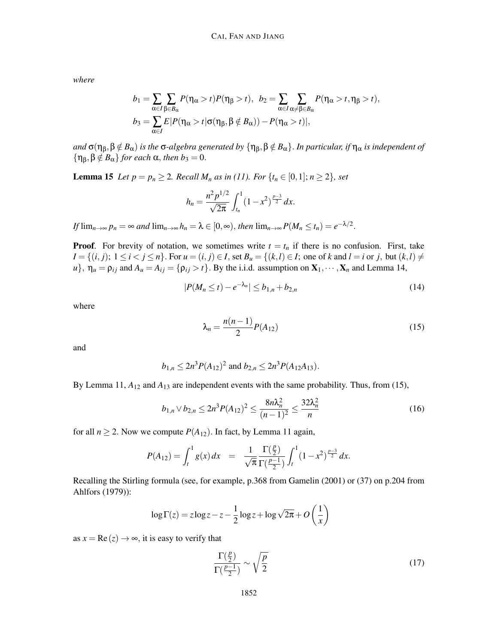*where*

$$
b_1 = \sum_{\alpha \in I} \sum_{\beta \in B_{\alpha}} P(\eta_{\alpha} > t) P(\eta_{\beta} > t), b_2 = \sum_{\alpha \in I} \sum_{\alpha \neq \beta \in B_{\alpha}} P(\eta_{\alpha} > t, \eta_{\beta} > t),
$$
  

$$
b_3 = \sum_{\alpha \in I} E|P(\eta_{\alpha} > t | \sigma(\eta_{\beta}, \beta \notin B_{\alpha})) - P(\eta_{\alpha} > t)|,
$$

*and*  $\sigma(\eta_\beta, \beta \notin B_\alpha)$  *is the*  $\sigma$ *-algebra generated by*  $\{\eta_\beta, \beta \notin B_\alpha\}$ *. In particular, if*  $\eta_\alpha$  *is independent of*  ${\eta_{\beta}, \beta \notin B_{\alpha}}$ *for each*  $\alpha$ *, then*  $b_3 = 0$ .

**Lemma 15** *Let*  $p = p_n \geq 2$ *. Recall*  $M_n$  *as in (11). For*  $\{t_n \in [0,1]; n \geq 2\}$ *, set* 

$$
h_n = \frac{n^2 p^{1/2}}{\sqrt{2\pi}} \int_{t_n}^1 (1 - x^2)^{\frac{p-3}{2}} dx.
$$

*If*  $\lim_{n\to\infty} p_n = \infty$  and  $\lim_{n\to\infty} h_n = \lambda \in [0,\infty)$ , then  $\lim_{n\to\infty} P(M_n \le t_n) = e^{-\lambda/2}$ .

**Proof.** For brevity of notation, we sometimes write  $t = t_n$  if there is no confusion. First, take  $I = \{(i, j); 1 \le i < j \le n\}$ . For  $u = (i, j) \in I$ , set  $B_u = \{(k, l) \in I$ ; one of k and  $l = i$  or j, but  $(k, l) \ne$  $u$ ,  $\eta_u = \rho_{ij}$  and  $A_u = A_{ij} = {\rho_{ij} > t}$ . By the i.i.d. assumption on  $X_1, \dots, X_n$  and Lemma 14,

$$
|P(M_n \le t) - e^{-\lambda_n}| \le b_{1,n} + b_{2,n}
$$
\n(14)

where

$$
\lambda_n = \frac{n(n-1)}{2} P(A_{12})
$$
\n(15)

and

$$
b_{1,n} \le 2n^3 P(A_{12})^2
$$
 and  $b_{2,n} \le 2n^3 P(A_{12}A_{13})$ .

By Lemma 11,  $A_{12}$  and  $A_{13}$  are independent events with the same probability. Thus, from (15),

$$
b_{1,n} \vee b_{2,n} \le 2n^3 P(A_{12})^2 \le \frac{8n\lambda_n^2}{(n-1)^2} \le \frac{32\lambda_n^2}{n}
$$
 (16)

for all  $n \ge 2$ . Now we compute  $P(A_{12})$ . In fact, by Lemma 11 again,

$$
P(A_{12}) = \int_t^1 g(x) dx = \frac{1}{\sqrt{\pi}} \frac{\Gamma(\frac{p}{2})}{\Gamma(\frac{p-1}{2})} \int_t^1 (1-x^2)^{\frac{p-3}{2}} dx.
$$

Recalling the Stirling formula (see, for example, p.368 from Gamelin (2001) or (37) on p.204 from Ahlfors (1979)):

$$
\log \Gamma(z) = z \log z - z - \frac{1}{2} \log z + \log \sqrt{2\pi} + O\left(\frac{1}{x}\right)
$$

as  $x = \text{Re}(z) \rightarrow \infty$ , it is easy to verify that

$$
\frac{\Gamma(\frac{p}{2})}{\Gamma(\frac{p-1}{2})} \sim \sqrt{\frac{p}{2}}\tag{17}
$$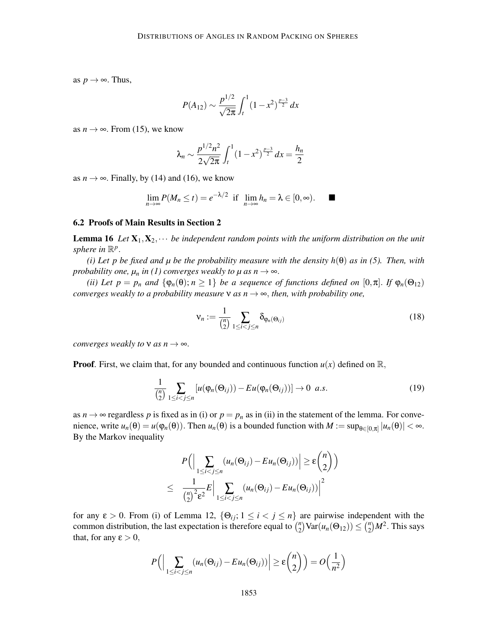as  $p \rightarrow \infty$ . Thus,

$$
P(A_{12}) \sim \frac{p^{1/2}}{\sqrt{2\pi}} \int_{t}^{1} (1 - x^{2})^{\frac{p-3}{2}} dx
$$

as  $n \to \infty$ . From (15), we know

$$
\lambda_n \sim \frac{p^{1/2}n^2}{2\sqrt{2\pi}} \int_t^1 (1-x^2)^{\frac{p-3}{2}} dx = \frac{h_n}{2}
$$

as  $n \to \infty$ . Finally, by (14) and (16), we know

$$
\lim_{n\to\infty} P(M_n\leq t)=e^{-\lambda/2} \text{ if } \lim_{n\to\infty} h_n=\lambda\in[0,\infty).
$$

#### 6.2 Proofs of Main Results in Section 2

**Lemma 16** Let  $X_1, X_2, \cdots$  be independent random points with the uniform distribution on the unit sphere in  $\mathbb{R}^p$ .

*(i) Let p be fixed and µ be the probability measure with the density h*( $\theta$ ) *as in* (5). Then, with *probability one,*  $\mu_n$  *in (1) converges weakly to*  $\mu$  *as*  $n \rightarrow \infty$ *.* 

*(ii) Let p* = *p<sub>n</sub>* and  $\{\varphi_n(\theta); n \geq 1\}$  *be a sequence of functions defined on*  $[0, \pi]$ . *If*  $\varphi_n(\Theta_{12})$ *converges weakly to a probability measure*  $\nu$  *as n*  $\rightarrow \infty$ *, then, with probability one,* 

$$
\mathsf{v}_n := \frac{1}{\binom{n}{2}} \sum_{1 \le i < j \le n} \delta_{\varphi_n(\Theta_{ij})} \tag{18}
$$

*converges weakly to*  $\nu$  *as*  $n \rightarrow \infty$ *.* 

**Proof.** First, we claim that, for any bounded and continuous function  $u(x)$  defined on  $\mathbb{R}$ ,

$$
\frac{1}{\binom{n}{2}} \sum_{1 \leq i < j \leq n} \left[ u(\varphi_n(\Theta_{ij})) - Eu(\varphi_n(\Theta_{ij})) \right] \to 0 \ \ a.s. \tag{19}
$$

as  $n \to \infty$  regardless p is fixed as in (i) or  $p = p_n$  as in (ii) in the statement of the lemma. For convenience, write  $u_n(\theta) = u(\varphi_n(\theta))$ . Then  $u_n(\theta)$  is a bounded function with  $M := \sup_{\theta \in [0,\pi]} |u_n(\theta)| < \infty$ . By the Markov inequality

$$
P\Big(\Big|\sum_{1\leq i  

$$
\leq \frac{1}{\binom{n}{2}^2 \varepsilon^2} E\Big|\sum_{1\leq i
$$
$$

for any  $\varepsilon > 0$ . From (i) of Lemma 12,  $\{\Theta_{ij}; 1 \le i < j \le n\}$  are pairwise independent with the common distribution, the last expectation is therefore equal to  $\binom{n}{2}$  $\lim_{n=2}^{\infty}$  Var $(u_n(\Theta_{12})) \leq {n \choose 2}$  $\binom{n}{2}M^2$ . This says that, for any  $\varepsilon > 0$ ,

$$
P\Big(\Big|\sum_{1\leq i
$$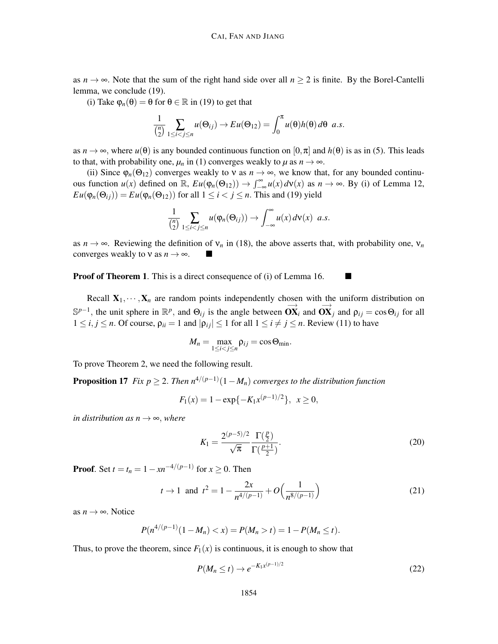as  $n \to \infty$ . Note that the sum of the right hand side over all  $n \ge 2$  is finite. By the Borel-Cantelli lemma, we conclude (19).

(i) Take  $\varphi_n(\theta) = \theta$  for  $\theta \in \mathbb{R}$  in (19) to get that

$$
\frac{1}{\binom{n}{2}}\sum_{1\leq i
$$

as  $n \to \infty$ , where  $u(\theta)$  is any bounded continuous function on  $[0, \pi]$  and  $h(\theta)$  is as in (5). This leads to that, with probability one,  $\mu_n$  in (1) converges weakly to  $\mu$  as  $n \to \infty$ .

(ii) Since  $\varphi_n(\Theta_{12})$  converges weakly to v as  $n \to \infty$ , we know that, for any bounded continuous function  $u(x)$  defined on  $\mathbb{R}$ ,  $Eu(\varphi_n(\Theta_{12})) \to \int_{-\infty}^{\infty} u(x) d\nu(x)$  as  $n \to \infty$ . By (i) of Lemma 12,  $Eu(\varphi_n(\Theta_{ij})) = Eu(\varphi_n(\Theta_{12}))$  for all  $1 \leq i < j \leq n$ . This and (19) yield

$$
\frac{1}{\binom{n}{2}}\sum_{1\leq i
$$

as  $n \to \infty$ . Reviewing the definition of  $v_n$  in (18), the above asserts that, with probability one,  $v_n$ converges weakly to  $v$  as  $n \to \infty$ .  $\blacksquare$ 

Proof of Theorem 1. This is a direct consequence of (i) of Lemma 16.

Recall  $X_1, \dots, X_n$  are random points independently chosen with the uniform distribution on  $\mathbb{S}^{p-1}$ , the unit sphere in  $\mathbb{R}^p$ , and  $\Theta_{ij}$  is the angle between  $\overrightarrow{OX}_i$  and  $\overrightarrow{OX}_j$  and  $\rho_{ij} = \cos \Theta_{ij}$  for all  $1 \le i, j \le n$ . Of course,  $\rho_{ii} = 1$  and  $|\rho_{ii}| \le 1$  for all  $1 \le i \ne j \le n$ . Review (11) to have

$$
M_n=\max_{1\leq i
$$

To prove Theorem 2, we need the following result.

**Proposition 17** *Fix p*  $\geq$  2. *Then*  $n^{4/(p-1)}(1-M_n)$  *converges to the distribution function* 

$$
F_1(x) = 1 - \exp\{-K_1 x^{(p-1)/2}\}, \ \ x \ge 0,
$$

*in distribution as n*  $\rightarrow \infty$ *, where* 

$$
K_1 = \frac{2^{(p-5)/2}}{\sqrt{\pi}} \frac{\Gamma(\frac{p}{2})}{\Gamma(\frac{p+1}{2})}.
$$
\n(20)

**Proof.** Set  $t = t_n = 1 - xn^{-4/(p-1)}$  for  $x \ge 0$ . Then

$$
t \to 1
$$
 and  $t^2 = 1 - \frac{2x}{n^{4/(p-1)}} + O\left(\frac{1}{n^{8/(p-1)}}\right)$  (21)

as  $n \rightarrow \infty$ . Notice

$$
P(n^{4/(p-1)}(1-M_n)t)=1-P(M_n\leq t).
$$

Thus, to prove the theorem, since  $F_1(x)$  is continuous, it is enough to show that

$$
P(M_n \le t) \to e^{-K_1 x^{(p-1)/2}} \tag{22}
$$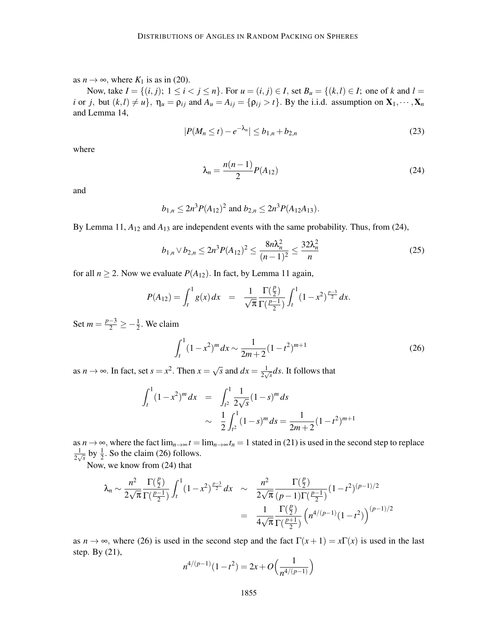as  $n \to \infty$ , where  $K_1$  is as in (20).

Now, take  $I = \{(i, j); 1 \le i < j \le n\}$ . For  $u = (i, j) \in I$ , set  $B_u = \{(k, l) \in I$ ; one of k and  $l =$ *i* or *j*, but  $(k, l) \neq u$ ,  $\eta_u = \rho_{ij}$  and  $A_u = A_{ij} = {\rho_{ij} > t}$ . By the i.i.d. assumption on  $X_1, \dots, X_n$ and Lemma 14,

$$
|P(M_n \le t) - e^{-\lambda_n}| \le b_{1,n} + b_{2,n}
$$
\n(23)

where

$$
\lambda_n = \frac{n(n-1)}{2} P(A_{12})
$$
\n(24)

and

$$
b_{1,n} \le 2n^3 P(A_{12})^2
$$
 and  $b_{2,n} \le 2n^3 P(A_{12}A_{13}).$ 

By Lemma 11, *A*<sup>12</sup> and *A*<sup>13</sup> are independent events with the same probability. Thus, from (24),

$$
b_{1,n} \vee b_{2,n} \le 2n^3 P(A_{12})^2 \le \frac{8n\lambda_n^2}{(n-1)^2} \le \frac{32\lambda_n^2}{n}
$$
 (25)

for all  $n \ge 2$ . Now we evaluate  $P(A_{12})$ . In fact, by Lemma 11 again,

$$
P(A_{12}) = \int_t^1 g(x) dx = \frac{1}{\sqrt{\pi}} \frac{\Gamma(\frac{p}{2})}{\Gamma(\frac{p-1}{2})} \int_t^1 (1-x^2)^{\frac{p-3}{2}} dx.
$$

Set  $m = \frac{p-3}{2} \ge -\frac{1}{2}$ . We claim

$$
\int_{t}^{1} (1 - x^{2})^{m} dx \sim \frac{1}{2m + 2} (1 - t^{2})^{m+1}
$$
 (26)

as  $n \to \infty$ . In fact, set  $s = x^2$ . Then  $x = \sqrt{s}$  and  $dx = \frac{1}{2\sqrt{s}}$  $\frac{1}{2\sqrt{s}}$ *ds*. It follows that

$$
\int_{t}^{1} (1 - x^{2})^{m} dx = \int_{t^{2}}^{1} \frac{1}{2\sqrt{s}} (1 - s)^{m} ds
$$

$$
\sim \frac{1}{2} \int_{t^{2}}^{1} (1 - s)^{m} ds = \frac{1}{2m + 2} (1 - t^{2})^{m+1}
$$

as  $n \to \infty$ , where the fact  $\lim_{n \to \infty} t = \lim_{n \to \infty} t_n = 1$  stated in (21) is used in the second step to replace 1  $\frac{1}{2\sqrt{s}}$  by  $\frac{1}{2}$ . So the claim (26) follows.

Now, we know from (24) that

$$
\lambda_n \sim \frac{n^2}{2\sqrt{\pi}} \frac{\Gamma(\frac{p}{2})}{\Gamma(\frac{p-1}{2})} \int_t^1 (1-x^2)^{\frac{p-3}{2}} dx \sim \frac{n^2}{2\sqrt{\pi}} \frac{\Gamma(\frac{p}{2})}{(p-1)\Gamma(\frac{p-1}{2})} (1-t^2)^{(p-1)/2}
$$

$$
= \frac{1}{4\sqrt{\pi}} \frac{\Gamma(\frac{p}{2})}{\Gamma(\frac{p+1}{2})} \left( n^{4/(p-1)} (1-t^2) \right)^{(p-1)/2}
$$

as  $n \to \infty$ , where (26) is used in the second step and the fact  $\Gamma(x+1) = x\Gamma(x)$  is used in the last step. By (21),

$$
n^{4/(p-1)}(1-t^2) = 2x + O\left(\frac{1}{n^{4/(p-1)}}\right)
$$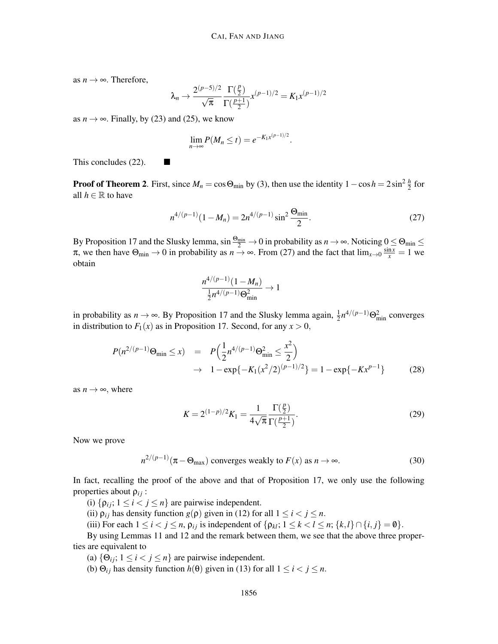as  $n \rightarrow \infty$ . Therefore,

$$
\lambda_n \to \frac{2^{(p-5)/2}}{\sqrt{\pi}} \frac{\Gamma(\frac{p}{2})}{\Gamma(\frac{p+1}{2})} x^{(p-1)/2} = K_1 x^{(p-1)/2}
$$

as  $n \to \infty$ . Finally, by (23) and (25), we know

$$
\lim_{n\to\infty}P(M_n\leq t)=e^{-K_1x^{(p-1)/2}}.
$$

This concludes  $(22)$ .

**Proof of Theorem 2.** First, since  $M_n = \cos \Theta_{\text{min}}$  by (3), then use the identity  $1 - \cos h = 2 \sin^2 \frac{h}{2}$  for all  $h \in \mathbb{R}$  to have

$$
n^{4/(p-1)}(1-M_n) = 2n^{4/(p-1)}\sin^2\frac{\Theta_{\min}}{2}.\tag{27}
$$

By Proposition 17 and the Slusky lemma,  $\sin \frac{\Theta_{\min}}{2} \to 0$  in probability as  $n \to \infty$ . Noticing  $0 \le \Theta_{\min} \le$  $\pi$ , we then have  $\Theta_{\min} \to 0$  in probability as  $n \to \infty$ . From (27) and the fact that  $\lim_{x\to 0} \frac{\sin x}{x} = 1$  we obtain

$$
\frac{n^{4/(p-1)}(1-M_n)}{\frac{1}{2}n^{4/(p-1)}\Theta_{\min}^2} \to 1
$$

in probability as  $n \to \infty$ . By Proposition 17 and the Slusky lemma again,  $\frac{1}{2}n^{4/(p-1)}\Theta_{\min}^2$  converges in distribution to  $F_1(x)$  as in Proposition 17. Second, for any  $x > 0$ ,

$$
P(n^{2/(p-1)}\Theta_{\min} \le x) = P\left(\frac{1}{2}n^{4/(p-1)}\Theta_{\min}^2 \le \frac{x^2}{2}\right)
$$
  

$$
\to 1 - \exp\{-K_1(x^2/2)^{(p-1)/2}\} = 1 - \exp\{-Kx^{p-1}\}
$$
(28)

as  $n \rightarrow \infty$ , where

$$
K = 2^{(1-p)/2} K_1 = \frac{1}{4\sqrt{\pi}} \frac{\Gamma(\frac{p}{2})}{\Gamma(\frac{p+1}{2})}.
$$
 (29)

Now we prove

$$
n^{2/(p-1)}(\pi - \Theta_{\text{max}}) \text{ converges weakly to } F(x) \text{ as } n \to \infty.
$$
 (30)

In fact, recalling the proof of the above and that of Proposition 17, we only use the following properties about  $\rho_{ij}$  :

(i)  $\{\rho_{ij}; 1 \le i < j \le n\}$  are pairwise independent.

(ii)  $\rho_{ij}$  has density function  $g(\rho)$  given in (12) for all  $1 \le i < j \le n$ .

(iii) For each  $1 \le i < j \le n$ ,  $\rho_{ij}$  is independent of  $\{\rho_{kl}; 1 \le k < l \le n; \{k, l\} \cap \{i, j\} = \emptyset\}$ .

By using Lemmas 11 and 12 and the remark between them, we see that the above three properties are equivalent to

(a)  $\{\Theta_{ij}; 1 \le i < j \le n\}$  are pairwise independent.

(b)  $\Theta_{ij}$  has density function  $h(\theta)$  given in (13) for all  $1 \le i < j \le n$ .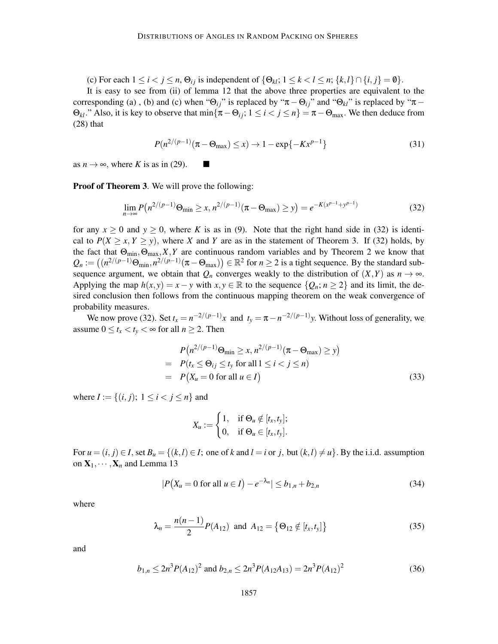(c) For each  $1 \le i < j \le n$ ,  $\Theta_{ij}$  is independent of  $\{\Theta_{kl}; 1 \le k < l \le n; \{k, l\} \cap \{i, j\} = \emptyset\}$ .

It is easy to see from (ii) of lemma 12 that the above three properties are equivalent to the corresponding (a), (b) and (c) when " $\Theta_{ij}$ " is replaced by " $\pi - \Theta_{ij}$ " and " $\Theta_{kl}$ " is replaced by " $\pi \Theta_{kl}$ ." Also, it is key to observe that  $\min\{\pi-\Theta_{ij}; 1 \le i < j \le n\} = \pi-\Theta_{\max}$ . We then deduce from (28) that

$$
P(n^{2/(p-1)}(\pi - \Theta_{\text{max}}) \le x) \to 1 - \exp\{-Kx^{p-1}\}\tag{31}
$$

as  $n \to \infty$ , where *K* is as in (29).

Proof of Theorem 3. We will prove the following:

$$
\lim_{n \to \infty} P(n^{2/(p-1)} \Theta_{\min} \ge x, n^{2/(p-1)} (\pi - \Theta_{\max}) \ge y) = e^{-K(x^{p-1} + y^{p-1})}
$$
(32)

for any  $x \ge 0$  and  $y \ge 0$ , where K is as in (9). Note that the right hand side in (32) is identical to  $P(X \ge x, Y \ge y)$ , where *X* and *Y* are as in the statement of Theorem 3. If (32) holds, by the fact that  $\Theta_{\text{min}}, \Theta_{\text{max}}, X, Y$  are continuous random variables and by Theorem 2 we know that  $Q_n := \left( (n^{2/(p-1)} \Theta_{\min}, n^{2/(p-1)} (\pi - \Theta_{\max}) \right) \in \mathbb{R}^2$  for  $n \ge 2$  is a tight sequence. By the standard subsequence argument, we obtain that  $Q_n$  converges weakly to the distribution of  $(X, Y)$  as  $n \to \infty$ . Applying the map  $h(x, y) = x - y$  with  $x, y \in \mathbb{R}$  to the sequence  $\{Q_n; n \ge 2\}$  and its limit, the desired conclusion then follows from the continuous mapping theorem on the weak convergence of probability measures.

We now prove (32). Set  $t_x = n^{-2/(p-1)}x$  and  $t_y = \pi - n^{-2/(p-1)}y$ . Without loss of generality, we assume  $0 \le t_x < t_y < \infty$  for all  $n \ge 2$ . Then

$$
P(n^{2/(p-1)}\Theta_{\min} \ge x, n^{2/(p-1)}(\pi - \Theta_{\max}) \ge y)
$$
  
= 
$$
P(t_x \le \Theta_{ij} \le t_y \text{ for all } 1 \le i < j \le n)
$$
  
= 
$$
P(X_u = 0 \text{ for all } u \in I)
$$
 (33)

where  $I := \{(i, j); 1 \le i < j \le n\}$  and

$$
X_u := \begin{cases} 1, & \text{if } \Theta_u \notin [t_x, t_y]; \\ 0, & \text{if } \Theta_u \in [t_x, t_y]. \end{cases}
$$

For  $u = (i, j) \in I$ , set  $B_u = \{(k, l) \in I$ ; one of k and  $l = i$  or *j*, but  $(k, l) \neq u\}$ . By the i.i.d. assumption on  $X_1, \dots, X_n$  and Lemma 13

$$
|P(X_u = 0 \text{ for all } u \in I) - e^{-\lambda_n}| \le b_{1,n} + b_{2,n}
$$
 (34)

where

$$
\lambda_n = \frac{n(n-1)}{2} P(A_{12}) \text{ and } A_{12} = \{ \Theta_{12} \notin [t_x, t_y] \}
$$
\n(35)

and

$$
b_{1,n} \le 2n^3 P(A_{12})^2 \text{ and } b_{2,n} \le 2n^3 P(A_{12}A_{13}) = 2n^3 P(A_{12})^2 \tag{36}
$$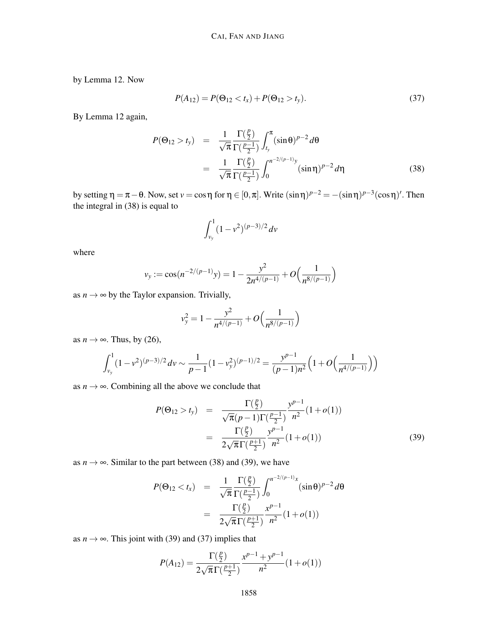by Lemma 12. Now

$$
P(A_{12}) = P(\Theta_{12} < t_x) + P(\Theta_{12} > t_y). \tag{37}
$$

By Lemma 12 again,

$$
P(\Theta_{12} > t_{y}) = \frac{1}{\sqrt{\pi}} \frac{\Gamma(\frac{p}{2})}{\Gamma(\frac{p-1}{2})} \int_{t_{y}}^{\pi} (\sin \theta)^{p-2} d\theta
$$
  
= 
$$
\frac{1}{\sqrt{\pi}} \frac{\Gamma(\frac{p}{2})}{\Gamma(\frac{p-1}{2})} \int_{0}^{\pi^{-2/(p-1)} y} (\sin \eta)^{p-2} d\eta
$$
(38)

by setting  $\eta = \pi - \theta$ . Now, set  $v = \cos \eta$  for  $\eta \in [0, \pi]$ . Write  $(\sin \eta)^{p-2} = -(\sin \eta)^{p-3}(\cos \eta)'$ . Then the integral in (38) is equal to

$$
\int_{v_y}^{1} (1 - v^2)^{(p-3)/2} dv
$$

where

$$
v_y := \cos(n^{-2/(p-1)}y) = 1 - \frac{y^2}{2n^{4/(p-1)}} + O\left(\frac{1}{n^{8/(p-1)}}\right)
$$

as  $n \rightarrow \infty$  by the Taylor expansion. Trivially,

$$
v_y^2 = 1 - \frac{y^2}{n^{4/(p-1)}} + O\left(\frac{1}{n^{8/(p-1)}}\right)
$$

as  $n \to \infty$ . Thus, by (26),

$$
\int_{v_y}^{1} (1 - v^2)^{(p-3)/2} dv \sim \frac{1}{p-1} (1 - v_y^2)^{(p-1)/2} = \frac{y^{p-1}}{(p-1)n^2} \left( 1 + O\left(\frac{1}{n^{4/(p-1)}}\right) \right)
$$

as  $n \rightarrow \infty$ . Combining all the above we conclude that

$$
P(\Theta_{12} > t_y) = \frac{\Gamma(\frac{p}{2})}{\sqrt{\pi}(p-1)\Gamma(\frac{p-1}{2})} \frac{y^{p-1}}{n^2} (1+o(1))
$$
  
= 
$$
\frac{\Gamma(\frac{p}{2})}{2\sqrt{\pi}\Gamma(\frac{p+1}{2})} \frac{y^{p-1}}{n^2} (1+o(1))
$$
 (39)

as  $n \to \infty$ . Similar to the part between (38) and (39), we have

$$
P(\Theta_{12} < t_x) = \frac{1}{\sqrt{\pi}} \frac{\Gamma(\frac{p}{2})}{\Gamma(\frac{p-1}{2})} \int_0^{n^{-2/(p-1)}x} (\sin \theta)^{p-2} d\theta
$$
\n
$$
= \frac{\Gamma(\frac{p}{2})}{2\sqrt{\pi} \Gamma(\frac{p+1}{2})} \frac{x^{p-1}}{n^2} (1 + o(1))
$$

as  $n \rightarrow \infty$ . This joint with (39) and (37) implies that

$$
P(A_{12}) = \frac{\Gamma(\frac{p}{2})}{2\sqrt{\pi}\Gamma(\frac{p+1}{2})} \frac{x^{p-1} + y^{p-1}}{n^2} (1 + o(1))
$$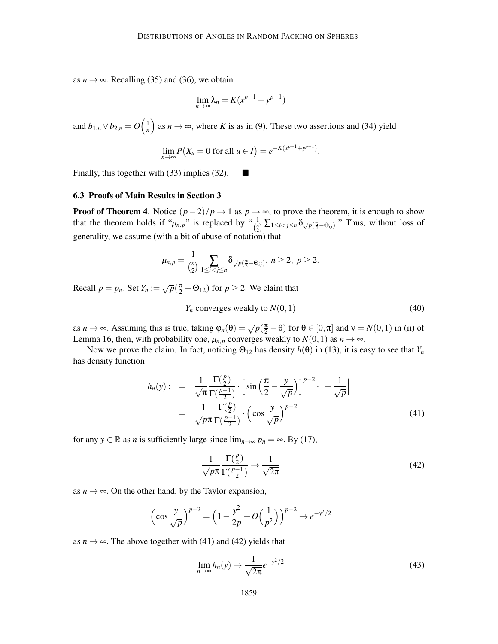as  $n \rightarrow \infty$ . Recalling (35) and (36), we obtain

$$
\lim_{n \to \infty} \lambda_n = K(x^{p-1} + y^{p-1})
$$

and  $b_{1,n} \vee b_{2,n} = O\left(\frac{1}{n}\right)$  $\left(\frac{1}{n}\right)$  as  $n \to \infty$ , where *K* is as in (9). These two assertions and (34) yield

$$
\lim_{n \to \infty} P(X_u = 0 \text{ for all } u \in I) = e^{-K(x^{p-1} + y^{p-1})}.
$$

Finally, this together with (33) implies (32).  $\Box$ 

#### 6.3 Proofs of Main Results in Section 3

**Proof of Theorem 4.** Notice  $(p-2)/p \rightarrow 1$  as  $p \rightarrow \infty$ , to prove the theorem, it is enough to show that the theorem holds if " $\mu_{n,p}$ " is replaced by " $\frac{1}{\binom{n}{2}}\sum_{1\leq i < j \leq n} \delta_{\sqrt{p}(\frac{\pi}{2}-\Theta_{ij})}$ " Thus, without loss of generality, we assume (with a bit of abuse of notation) that

$$
\mu_{n,p}=\frac{1}{\binom{n}{2}}\sum_{1\leq i
$$

Recall  $p = p_n$ . Set  $Y_n := \sqrt{p}(\frac{\pi}{2} - \Theta_{12})$  for  $p \ge 2$ . We claim that

$$
Y_n
$$
 converges weakly to  $N(0, 1)$  (40)

as *n* → ∞. Assuming this is true, taking  $\varphi_n(\theta) = \sqrt{p}(\frac{\pi}{2} - \theta)$  for  $\theta \in [0, \pi]$  and  $v = N(0, 1)$  in (ii) of Lemma 16, then, with probability one,  $\mu_{n,p}$  converges weakly to  $N(0,1)$  as  $n \to \infty$ .

Now we prove the claim. In fact, noticing  $\Theta_{12}$  has density  $h(\theta)$  in (13), it is easy to see that  $Y_n$ has density function

$$
h_n(y) : = \frac{1}{\sqrt{\pi}} \frac{\Gamma(\frac{p}{2})}{\Gamma(\frac{p-1}{2})} \cdot \left[ \sin\left(\frac{\pi}{2} - \frac{y}{\sqrt{p}}\right) \right]^{p-2} \cdot \left| -\frac{1}{\sqrt{p}} \right|
$$
  

$$
= \frac{1}{\sqrt{p\pi}} \frac{\Gamma(\frac{p}{2})}{\Gamma(\frac{p-1}{2})} \cdot \left( \cos\frac{y}{\sqrt{p}} \right)^{p-2} \tag{41}
$$

for any  $y \in \mathbb{R}$  as *n* is sufficiently large since  $\lim_{n \to \infty} p_n = \infty$ . By (17),

$$
\frac{1}{\sqrt{p\pi}} \frac{\Gamma(\frac{p}{2})}{\Gamma(\frac{p-1}{2})} \to \frac{1}{\sqrt{2\pi}}
$$
(42)

as  $n \to \infty$ . On the other hand, by the Taylor expansion,

$$
\left(\cos\frac{y}{\sqrt{p}}\right)^{p-2} = \left(1 - \frac{y^2}{2p} + O\left(\frac{1}{p^2}\right)\right)^{p-2} \to e^{-y^2/2}
$$

as  $n \to \infty$ . The above together with (41) and (42) yields that

$$
\lim_{n \to \infty} h_n(y) \to \frac{1}{\sqrt{2\pi}} e^{-y^2/2}
$$
\n(43)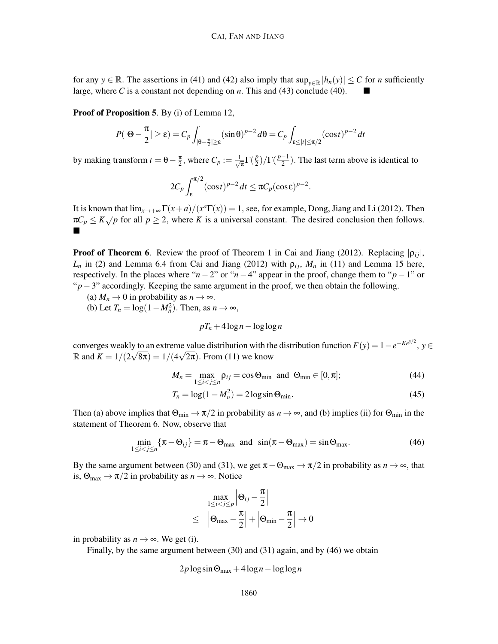for any *y* ∈ R. The assertions in (41) and (42) also imply that  $\sup_{y \in \mathbb{R}} |h_n(y)| \le C$  for *n* sufficiently large where *C* is a constant not depending on *n*. This and (43) conclude (40) large, where *C* is a constant not depending on *n*. This and (43) conclude (40).

Proof of Proposition 5. By (i) of Lemma 12,

$$
P(|\Theta - \frac{\pi}{2}| \ge \varepsilon) = C_p \int_{|\Theta - \frac{\pi}{2}| \ge \varepsilon} (\sin \theta)^{p-2} d\theta = C_p \int_{\varepsilon \le |t| \le \pi/2} (\cos t)^{p-2} dt
$$

by making transform  $t = \theta - \frac{\pi}{2}$  $\frac{\pi}{2}$ , where  $C_p := \frac{1}{\sqrt{2}}$  $\frac{1}{\pi}\Gamma(\frac{p}{2})$  $\frac{p}{2}$ )/ $\Gamma(\frac{p-1}{2})$ . The last term above is identical to

$$
2C_p \int_{\varepsilon}^{\pi/2} (\cos t)^{p-2} dt \leq \pi C_p (\cos \varepsilon)^{p-2}.
$$

It is known that  $\lim_{x\to+\infty} \Gamma(x+a)/(x^a \Gamma(x)) = 1$ , see, for example, Dong, Jiang and Li (2012). Then  $\pi C_p \leq K \sqrt{p}$  for all  $p \geq 2$ , where *K* is a universal constant. The desired conclusion then follows. Ë

**Proof of Theorem 6.** Review the proof of Theorem 1 in Cai and Jiang (2012). Replacing  $|\rho_{ij}|$ ,  $L_n$  in (2) and Lemma 6.4 from Cai and Jiang (2012) with  $\rho_{ij}$ ,  $M_n$  in (11) and Lemma 15 here, respectively. In the places where " $n-2$ " or " $n-4$ " appear in the proof, change them to " $p-1$ " or " $p-3$ " accordingly. Keeping the same argument in the proof, we then obtain the following.

- (a)  $M_n \to 0$  in probability as  $n \to \infty$ .
- (b) Let  $T_n = \log(1 M_n^2)$ . Then, as  $n \to \infty$ ,

$$
pT_n + 4\log n - \log\log n
$$

converges weakly to an extreme value distribution with the distribution function  $F(y) = 1 - e^{-Ke^{y/2}}$ ,  $y \in$ R and  $K = 1/(2\sqrt{8\pi}) = 1/(4\sqrt{2\pi})$ . From (11) we know

$$
M_n = \max_{1 \le i < j \le n} \rho_{ij} = \cos \Theta_{\min} \text{ and } \Theta_{\min} \in [0, \pi];\tag{44}
$$

$$
T_n = \log(1 - M_n^2) = 2\log \sin \Theta_{\min}.
$$
\n(45)

Then (a) above implies that  $\Theta_{\min} \to \pi/2$  in probability as  $n \to \infty$ , and (b) implies (ii) for  $\Theta_{\min}$  in the statement of Theorem 6. Now, observe that

$$
\min_{1 \le i < j \le n} \{ \pi - \Theta_{ij} \} = \pi - \Theta_{\text{max}} \quad \text{and} \quad \sin(\pi - \Theta_{\text{max}}) = \sin \Theta_{\text{max}}. \tag{46}
$$

By the same argument between (30) and (31), we get  $\pi - \Theta_{\text{max}} \to \pi/2$  in probability as  $n \to \infty$ , that is,  $\Theta_{\text{max}} \to \pi/2$  in probability as  $n \to \infty$ . Notice

$$
\max_{1 \le i < j \le p} \left| \Theta_{ij} - \frac{\pi}{2} \right|
$$
\n
$$
\leq \left| \Theta_{\max} - \frac{\pi}{2} \right| + \left| \Theta_{\min} - \frac{\pi}{2} \right| \to 0
$$

in probability as  $n \rightarrow \infty$ . We get (i).

Finally, by the same argument between (30) and (31) again, and by (46) we obtain

$$
2p\log\sin\Theta_{\max} + 4\log n - \log\log n
$$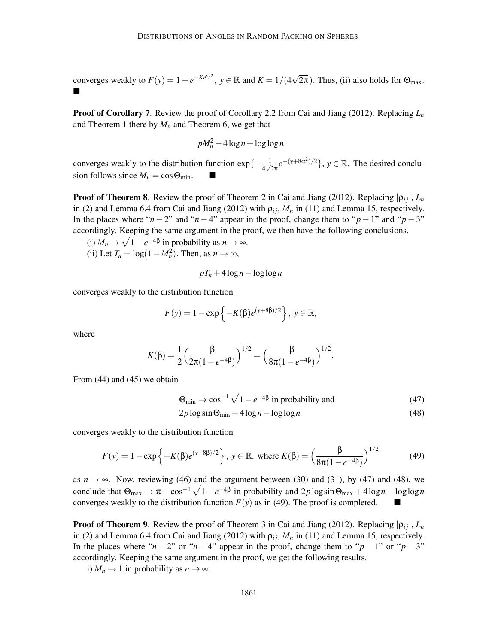converges weakly to  $F(y) = 1 - e^{-Ke^{y/2}}$ ,  $y \in \mathbb{R}$  and  $K = 1/(4\sqrt{2\pi})$ . Thus, (ii) also holds for  $\Theta_{\text{max}}$ .  $\blacksquare$ 

Proof of Corollary 7. Review the proof of Corollary 2.2 from Cai and Jiang (2012). Replacing *L<sup>n</sup>* and Theorem 1 there by  $M_n$  and Theorem 6, we get that

$$
pM_n^2 - 4\log n + \log\log n
$$

converges weakly to the distribution function  $\exp\{-\frac{1}{4\sqrt{2\pi}}e^{-(y+8\alpha^2)/2}\}$ ,  $y \in \mathbb{R}$ . The desired conclusion follows since  $M_n = \cos \Theta_{\text{min}}$ .

**Proof of Theorem 8.** Review the proof of Theorem 2 in Cai and Jiang (2012). Replacing  $|\rho_{ij}|$ ,  $L_n$ in (2) and Lemma 6.4 from Cai and Jiang (2012) with  $\rho_{ij}$ ,  $M_n$  in (11) and Lemma 15, respectively. In the places where " $n - 2$ " and " $n - 4$ " appear in the proof, change them to " $p - 1$ " and " $p - 3$ " accordingly. Keeping the same argument in the proof, we then have the following conclusions.

(i)  $M_n \to \sqrt{1-e^{-4\beta}}$  in probability as  $n \to \infty$ . (ii) Let  $T_n = \log(1 - M_n^2)$ . Then, as  $n \to \infty$ ,

$$
pT_n + 4\log n - \log\log n
$$

converges weakly to the distribution function

$$
F(y) = 1 - \exp\{-K(\beta)e^{(y+8\beta)/2}\}, y \in \mathbb{R},
$$

where

$$
K(\beta) = \frac{1}{2} \Big( \frac{\beta}{2\pi(1 - e^{-4\beta})} \Big)^{1/2} = \Big( \frac{\beta}{8\pi(1 - e^{-4\beta})} \Big)^{1/2}.
$$

From (44) and (45) we obtain

$$
\Theta_{\min} \to \cos^{-1} \sqrt{1 - e^{-4\beta}} \text{ in probability and}
$$
 (47)

$$
2p \log \sin \Theta_{\min} + 4 \log n - \log \log n \tag{48}
$$

converges weakly to the distribution function

$$
F(y) = 1 - \exp\{-K(\beta)e^{(y+8\beta)/2}\}, y \in \mathbb{R}, \text{ where } K(\beta) = \left(\frac{\beta}{8\pi(1 - e^{-4\beta})}\right)^{1/2} \tag{49}
$$

as  $n \to \infty$ . Now, reviewing (46) and the argument between (30) and (31), by (47) and (48), we conclude that  $\Theta_{\text{max}} \to \pi - \cos^{-1} \sqrt{1 - e^{-4\beta}}$  in probability and  $2p \log \sin \Theta_{\text{max}} + 4 \log n - \log \log n$ converges weakly to the distribution function  $F(y)$  as in (49). The proof is completed.

**Proof of Theorem 9.** Review the proof of Theorem 3 in Cai and Jiang (2012). Replacing  $|\rho_{ij}|$ ,  $L_n$ in (2) and Lemma 6.4 from Cai and Jiang (2012) with  $\rho_{ij}$ ,  $M_n$  in (11) and Lemma 15, respectively. In the places where " $n - 2$ " or " $n - 4$ " appear in the proof, change them to " $p - 1$ " or " $p - 3$ " accordingly. Keeping the same argument in the proof, we get the following results.

i)  $M_n \to 1$  in probability as  $n \to \infty$ .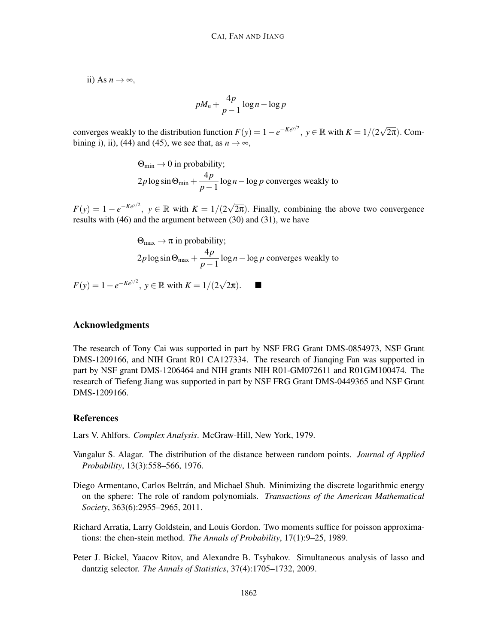ii) As  $n \to \infty$ ,

$$
pM_n + \frac{4p}{p-1}\log n - \log p
$$

converges weakly to the distribution function  $F(y) = 1 - e^{-Ke^{y/2}}$ ,  $y \in \mathbb{R}$  with  $K = 1/(2\sqrt{2\pi})$ . Combining i), ii), (44) and (45), we see that, as  $n \to \infty$ ,

$$
\Theta_{\min} \to 0 \text{ in probability};
$$
  
 
$$
2p \log \sin \Theta_{\min} + \frac{4p}{p-1} \log n - \log p \text{ converges weakly to}
$$

 $F(y) = 1 - e^{-Ke^{y/2}}$ ,  $y \in \mathbb{R}$  with  $K = 1/(2\sqrt{2\pi})$ . Finally, combining the above two convergence results with (46) and the argument between (30) and (31), we have

$$
\Theta_{\text{max}} \to \pi \text{ in probability};
$$
  
2p log sin  $\Theta_{\text{max}} + \frac{4p}{p-1} \log n - \log p$  converges weakly to

*F*(*y*) = 1 − *e*<sup>-*Ke<sup>y/2</sup>*, *y* ∈ ℝ with *K* = 1/(2 $\sqrt{2\pi}$ ). ■</sup>

# Acknowledgments

The research of Tony Cai was supported in part by NSF FRG Grant DMS-0854973, NSF Grant DMS-1209166, and NIH Grant R01 CA127334. The research of Jianqing Fan was supported in part by NSF grant DMS-1206464 and NIH grants NIH R01-GM072611 and R01GM100474. The research of Tiefeng Jiang was supported in part by NSF FRG Grant DMS-0449365 and NSF Grant DMS-1209166.

### References

Lars V. Ahlfors. *Complex Analysis*. McGraw-Hill, New York, 1979.

- Vangalur S. Alagar. The distribution of the distance between random points. *Journal of Applied Probability*, 13(3):558–566, 1976.
- Diego Armentano, Carlos Beltrán, and Michael Shub. Minimizing the discrete logarithmic energy on the sphere: The role of random polynomials. *Transactions of the American Mathematical Society*, 363(6):2955–2965, 2011.
- Richard Arratia, Larry Goldstein, and Louis Gordon. Two moments suffice for poisson approximations: the chen-stein method. *The Annals of Probability*, 17(1):9–25, 1989.
- Peter J. Bickel, Yaacov Ritov, and Alexandre B. Tsybakov. Simultaneous analysis of lasso and dantzig selector. *The Annals of Statistics*, 37(4):1705–1732, 2009.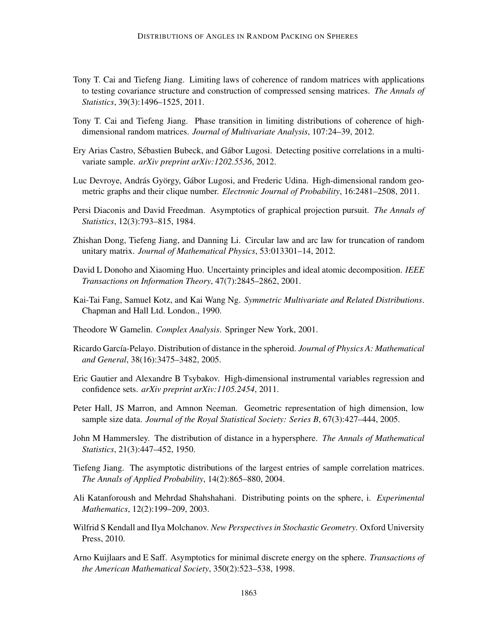- Tony T. Cai and Tiefeng Jiang. Limiting laws of coherence of random matrices with applications to testing covariance structure and construction of compressed sensing matrices. *The Annals of Statistics*, 39(3):1496–1525, 2011.
- Tony T. Cai and Tiefeng Jiang. Phase transition in limiting distributions of coherence of highdimensional random matrices. *Journal of Multivariate Analysis*, 107:24–39, 2012.
- Ery Arias Castro, Sébastien Bubeck, and Gábor Lugosi. Detecting positive correlations in a multivariate sample. *arXiv preprint arXiv:1202.5536*, 2012.
- Luc Devroye, András György, Gábor Lugosi, and Frederic Udina. High-dimensional random geometric graphs and their clique number. *Electronic Journal of Probability*, 16:2481–2508, 2011.
- Persi Diaconis and David Freedman. Asymptotics of graphical projection pursuit. *The Annals of Statistics*, 12(3):793–815, 1984.
- Zhishan Dong, Tiefeng Jiang, and Danning Li. Circular law and arc law for truncation of random unitary matrix. *Journal of Mathematical Physics*, 53:013301–14, 2012.
- David L Donoho and Xiaoming Huo. Uncertainty principles and ideal atomic decomposition. *IEEE Transactions on Information Theory*, 47(7):2845–2862, 2001.
- Kai-Tai Fang, Samuel Kotz, and Kai Wang Ng. *Symmetric Multivariate and Related Distributions*. Chapman and Hall Ltd. London., 1990.
- Theodore W Gamelin. *Complex Analysis*. Springer New York, 2001.
- Ricardo García-Pelayo. Distribution of distance in the spheroid. *Journal of Physics A: Mathematical and General*, 38(16):3475–3482, 2005.
- Eric Gautier and Alexandre B Tsybakov. High-dimensional instrumental variables regression and confidence sets. *arXiv preprint arXiv:1105.2454*, 2011.
- Peter Hall, JS Marron, and Amnon Neeman. Geometric representation of high dimension, low sample size data. *Journal of the Royal Statistical Society: Series B*, 67(3):427–444, 2005.
- John M Hammersley. The distribution of distance in a hypersphere. *The Annals of Mathematical Statistics*, 21(3):447–452, 1950.
- Tiefeng Jiang. The asymptotic distributions of the largest entries of sample correlation matrices. *The Annals of Applied Probability*, 14(2):865–880, 2004.
- Ali Katanforoush and Mehrdad Shahshahani. Distributing points on the sphere, i. *Experimental Mathematics*, 12(2):199–209, 2003.
- Wilfrid S Kendall and Ilya Molchanov. *New Perspectives in Stochastic Geometry*. Oxford University Press, 2010.
- Arno Kuijlaars and E Saff. Asymptotics for minimal discrete energy on the sphere. *Transactions of the American Mathematical Society*, 350(2):523–538, 1998.